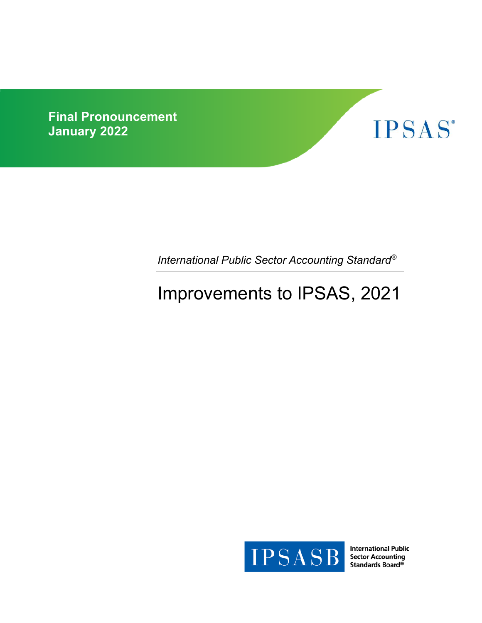**Final Pronouncement January 2022** 



*International Public Sector Accounting Standard®*

# Improvements to IPSAS, 2021



**International Public Sector Accounting** Standards Board®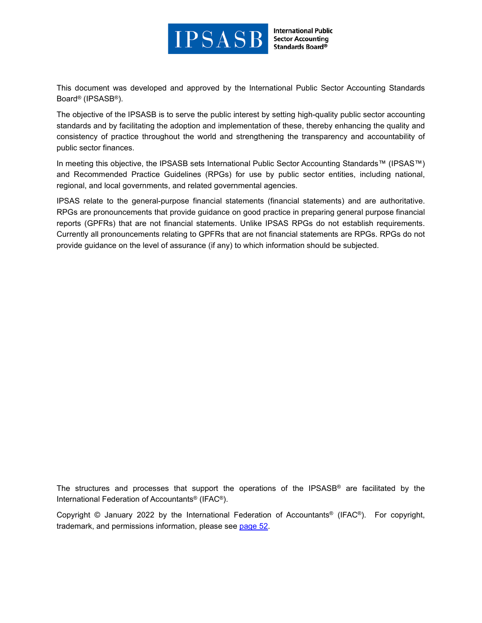

**International Public Sector Accounting** Standards Board®

This document was developed and approved by the International Public Sector Accounting Standards Board® (IPSASB®).

The objective of the IPSASB is to serve the public interest by setting high-quality public sector accounting standards and by facilitating the adoption and implementation of these, thereby enhancing the quality and consistency of practice throughout the world and strengthening the transparency and accountability of public sector finances.

In meeting this objective, the IPSASB sets International Public Sector Accounting Standards™ (IPSAS™) and Recommended Practice Guidelines (RPGs) for use by public sector entities, including national, regional, and local governments, and related governmental agencies.

IPSAS relate to the general-purpose financial statements (financial statements) and are authoritative. RPGs are pronouncements that provide guidance on good practice in preparing general purpose financial reports (GPFRs) that are not financial statements. Unlike IPSAS RPGs do not establish requirements. Currently all pronouncements relating to GPFRs that are not financial statements are RPGs. RPGs do not provide guidance on the level of assurance (if any) to which information should be subjected.

The structures and processes that support the operations of the IPSASB® are facilitated by the International Federation of Accountants® (IFAC®).

Copyright © January 2022 by the International Federation of Accountants® (IFAC®). For copyright, trademark, and permissions information, please see page 52.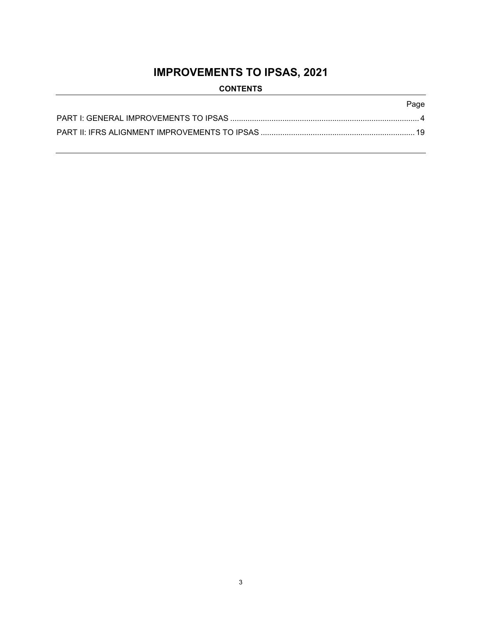## **IMPROVEMENTS TO IPSAS, 2021**

### **CONTENTS**

### Page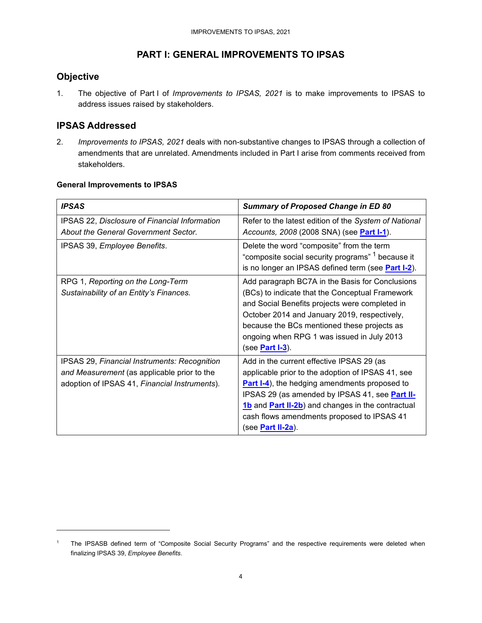### **PART I: GENERAL IMPROVEMENTS TO IPSAS**

### **Objective**

1. The objective of Part I of *Improvements to IPSAS, 2021* is to make improvements to IPSAS to address issues raised by stakeholders.

### **IPSAS Addressed**

2. *Improvements to IPSAS, 2021* deals with non-substantive changes to IPSAS through a collection of amendments that are unrelated. Amendments included in Part I arise from comments received from stakeholders.

#### **General Improvements to IPSAS**

| <b>IPSAS</b>                                                                                                                                 | <b>Summary of Proposed Change in ED 80</b>                                                                                                                                                                                                                                                                                                |
|----------------------------------------------------------------------------------------------------------------------------------------------|-------------------------------------------------------------------------------------------------------------------------------------------------------------------------------------------------------------------------------------------------------------------------------------------------------------------------------------------|
| IPSAS 22, Disclosure of Financial Information<br>About the General Government Sector.                                                        | Refer to the latest edition of the System of National<br>Accounts, 2008 (2008 SNA) (see Part I-1).                                                                                                                                                                                                                                        |
| IPSAS 39, Employee Benefits.                                                                                                                 | Delete the word "composite" from the term<br>"composite social security programs" <sup>1</sup> because it<br>is no longer an IPSAS defined term (see Part I-2).                                                                                                                                                                           |
| RPG 1, Reporting on the Long-Term<br>Sustainability of an Entity's Finances.                                                                 | Add paragraph BC7A in the Basis for Conclusions<br>(BCs) to indicate that the Conceptual Framework<br>and Social Benefits projects were completed in<br>October 2014 and January 2019, respectively,<br>because the BCs mentioned these projects as<br>ongoing when RPG 1 was issued in July 2013<br>(see <b>Part I-3</b> ).              |
| IPSAS 29, Financial Instruments: Recognition<br>and Measurement (as applicable prior to the<br>adoption of IPSAS 41, Financial Instruments). | Add in the current effective IPSAS 29 (as<br>applicable prior to the adoption of IPSAS 41, see<br><b>Part I-4)</b> , the hedging amendments proposed to<br>IPSAS 29 (as amended by IPSAS 41, see Part II-<br>1b and Part II-2b) and changes in the contractual<br>cash flows amendments proposed to IPSAS 41<br>(see <b>Part II-2a</b> ). |

<sup>1</sup> The IPSASB defined term of "Composite Social Security Programs" and the respective requirements were deleted when finalizing IPSAS 39, *Employee Benefits*.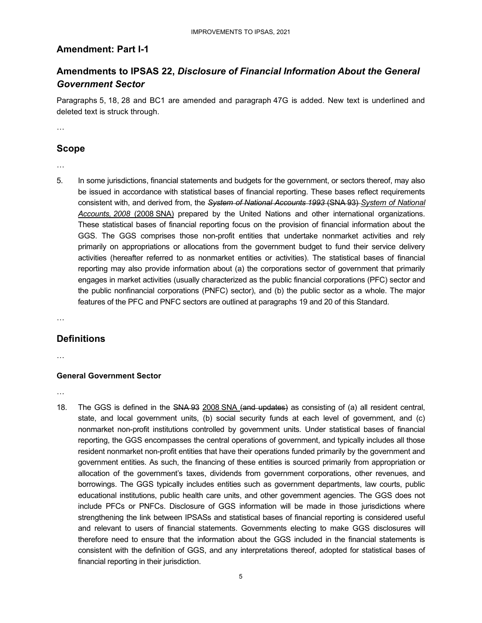### **Amendment: Part I-1**

### **Amendments to IPSAS 22,** *Disclosure of Financial Information About the General Government Sector*

Paragraphs 5, 18, 28 and BC1 are amended and paragraph 47G is added. New text is underlined and deleted text is struck through.

…

### **Scope**

- …
- 5. In some jurisdictions, financial statements and budgets for the government, or sectors thereof, may also be issued in accordance with statistical bases of financial reporting. These bases reflect requirements consistent with, and derived from, the *System of National Accounts 1993* (SNA 93) *System of National Accounts, 2008* (2008 SNA) prepared by the United Nations and other international organizations. These statistical bases of financial reporting focus on the provision of financial information about the GGS. The GGS comprises those non-profit entities that undertake nonmarket activities and rely primarily on appropriations or allocations from the government budget to fund their service delivery activities (hereafter referred to as nonmarket entities or activities). The statistical bases of financial reporting may also provide information about (a) the corporations sector of government that primarily engages in market activities (usually characterized as the public financial corporations (PFC) sector and the public nonfinancial corporations (PNFC) sector), and (b) the public sector as a whole. The major features of the PFC and PNFC sectors are outlined at paragraphs 19 and 20 of this Standard.

…

### **Definitions**

…

### **General Government Sector**

…

18. The GGS is defined in the SNA 93 2008 SNA (and updates) as consisting of (a) all resident central, state, and local government units, (b) social security funds at each level of government, and (c) nonmarket non-profit institutions controlled by government units. Under statistical bases of financial reporting, the GGS encompasses the central operations of government, and typically includes all those resident nonmarket non-profit entities that have their operations funded primarily by the government and government entities. As such, the financing of these entities is sourced primarily from appropriation or allocation of the government's taxes, dividends from government corporations, other revenues, and borrowings. The GGS typically includes entities such as government departments, law courts, public educational institutions, public health care units, and other government agencies. The GGS does not include PFCs or PNFCs. Disclosure of GGS information will be made in those jurisdictions where strengthening the link between IPSASs and statistical bases of financial reporting is considered useful and relevant to users of financial statements. Governments electing to make GGS disclosures will therefore need to ensure that the information about the GGS included in the financial statements is consistent with the definition of GGS, and any interpretations thereof, adopted for statistical bases of financial reporting in their jurisdiction.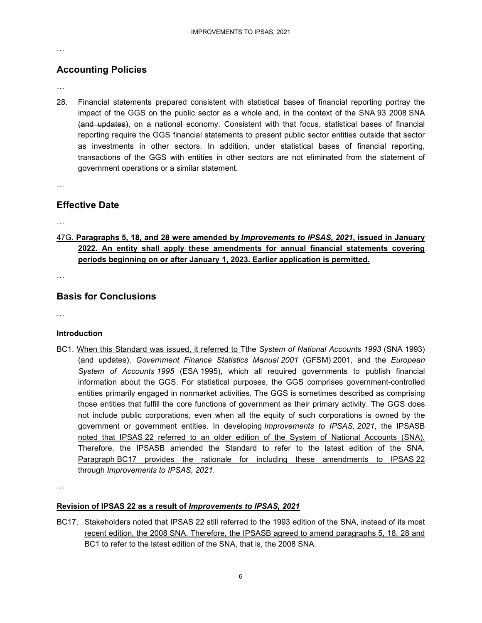…

### **Accounting Policies**

- …
- 28. Financial statements prepared consistent with statistical bases of financial reporting portray the impact of the GGS on the public sector as a whole and, in the context of the SNA 93 2008 SNA (and updates), on a national economy. Consistent with that focus, statistical bases of financial reporting require the GGS financial statements to present public sector entities outside that sector as investments in other sectors. In addition, under statistical bases of financial reporting, transactions of the GGS with entities in other sectors are not eliminated from the statement of government operations or a similar statement.

…

### **Effective Date**

…

47G. **Paragraphs 5, 18, and 28 were amended by** *Improvements to IPSAS, 2021***, issued in January 2022. An entity shall apply these amendments for annual financial statements covering periods beginning on or after January 1, 2023. Earlier application is permitted.** 

…

### **Basis for Conclusions**

…

### **Introduction**

BC1. When this Standard was issued, it referred to Tthe *System of National Accounts 1993* (SNA 1993) (and updates), *Government Finance Statistics Manual 2001* (GFSM) 2001, and the *European System of Accounts 1995* (ESA 1995), which all required governments to publish financial information about the GGS. For statistical purposes, the GGS comprises government-controlled entities primarily engaged in nonmarket activities. The GGS is sometimes described as comprising those entities that fulfill the core functions of government as their primary activity. The GGS does not include public corporations, even when all the equity of such corporations is owned by the government or government entities. In developing *Improvements to IPSAS, 2021*, the IPSASB noted that IPSAS 22 referred to an older edition of the System of National Accounts (SNA). Therefore, the IPSASB amended the Standard to refer to the latest edition of the SNA. Paragraph BC17 provides the rationale for including these amendments to IPSAS 22 through *Improvements to IPSAS, 2021*.

…

### **Revision of IPSAS 22 as a result of** *Improvements to IPSAS, 2021*

BC17. Stakeholders noted that IPSAS 22 still referred to the 1993 edition of the SNA, instead of its most recent edition, the 2008 SNA. Therefore, the IPSASB agreed to amend paragraphs 5, 18, 28 and BC1 to refer to the latest edition of the SNA, that is, the 2008 SNA.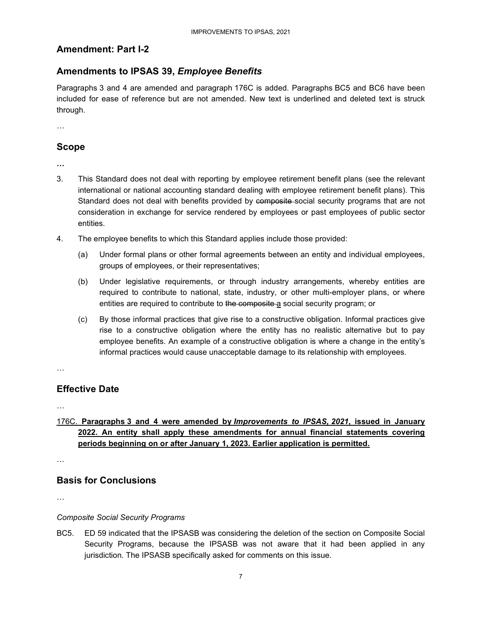### **Amendment: Part I-2**

### **Amendments to IPSAS 39,** *Employee Benefits*

Paragraphs 3 and 4 are amended and paragraph 176C is added. Paragraphs BC5 and BC6 have been included for ease of reference but are not amended. New text is underlined and deleted text is struck through.

…

### **Scope**

**…** 

- 3. This Standard does not deal with reporting by employee retirement benefit plans (see the relevant international or national accounting standard dealing with employee retirement benefit plans). This Standard does not deal with benefits provided by composite-social security programs that are not consideration in exchange for service rendered by employees or past employees of public sector entities.
- 4. The employee benefits to which this Standard applies include those provided:
	- (a) Under formal plans or other formal agreements between an entity and individual employees, groups of employees, or their representatives;
	- (b) Under legislative requirements, or through industry arrangements, whereby entities are required to contribute to national, state, industry, or other multi-employer plans, or where entities are required to contribute to the composite a social security program; or
	- (c) By those informal practices that give rise to a constructive obligation. Informal practices give rise to a constructive obligation where the entity has no realistic alternative but to pay employee benefits. An example of a constructive obligation is where a change in the entity's informal practices would cause unacceptable damage to its relationship with employees.

…

### **Effective Date**

…

### 176C. **Paragraphs 3 and 4 were amended by** *Improvements to IPSAS, 2021***, issued in January 2022. An entity shall apply these amendments for annual financial statements covering periods beginning on or after January 1, 2023. Earlier application is permitted.**

…

### **Basis for Conclusions**

…

### *Composite Social Security Programs*

BC5. ED 59 indicated that the IPSASB was considering the deletion of the section on Composite Social Security Programs, because the IPSASB was not aware that it had been applied in any jurisdiction. The IPSASB specifically asked for comments on this issue.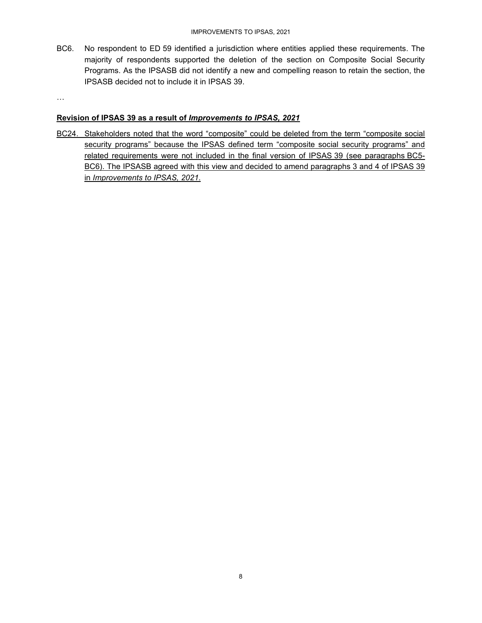BC6. No respondent to ED 59 identified a jurisdiction where entities applied these requirements. The majority of respondents supported the deletion of the section on Composite Social Security Programs. As the IPSASB did not identify a new and compelling reason to retain the section, the IPSASB decided not to include it in IPSAS 39.

…

#### **Revision of IPSAS 39 as a result of** *Improvements to IPSAS, 2021*

BC24. Stakeholders noted that the word "composite" could be deleted from the term "composite social security programs" because the IPSAS defined term "composite social security programs" and related requirements were not included in the final version of IPSAS 39 (see paragraphs BC5- BC6). The IPSASB agreed with this view and decided to amend paragraphs 3 and 4 of IPSAS 39 in *Improvements to IPSAS, 2021*.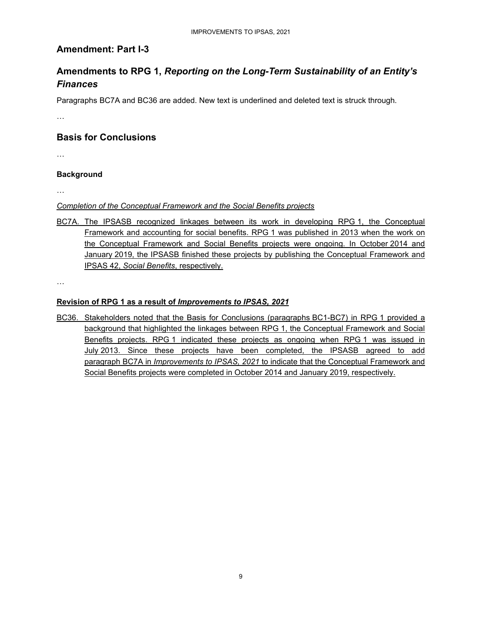### **Amendment: Part I-3**

### **Amendments to RPG 1,** *Reporting on the Long-Term Sustainability of an Entity's Finances*

Paragraphs BC7A and BC36 are added. New text is underlined and deleted text is struck through.

…

### **Basis for Conclusions**

…

### **Background**

…

#### *Completion of the Conceptual Framework and the Social Benefits projects*

BC7A. The IPSASB recognized linkages between its work in developing RPG 1, the Conceptual Framework and accounting for social benefits. RPG 1 was published in 2013 when the work on the Conceptual Framework and Social Benefits projects were ongoing. In October 2014 and January 2019, the IPSASB finished these projects by publishing the Conceptual Framework and IPSAS 42, *Social Benefits*, respectively.

…

#### **Revision of RPG 1 as a result of** *Improvements to IPSAS, 2021*

BC36. Stakeholders noted that the Basis for Conclusions (paragraphs BC1-BC7) in RPG 1 provided a background that highlighted the linkages between RPG 1, the Conceptual Framework and Social Benefits projects. RPG 1 indicated these projects as ongoing when RPG 1 was issued in July 2013. Since these projects have been completed, the IPSASB agreed to add paragraph BC7A in *Improvements to IPSAS, 2021* to indicate that the Conceptual Framework and Social Benefits projects were completed in October 2014 and January 2019, respectively.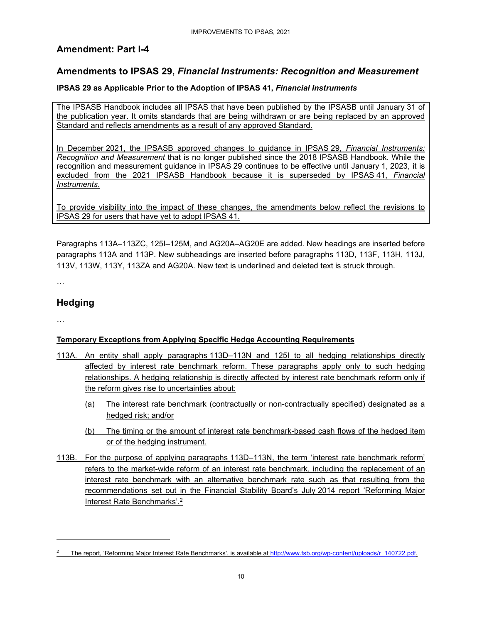### **Amendment: Part I-4**

### **Amendments to IPSAS 29,** *Financial Instruments: Recognition and Measurement*

#### **IPSAS 29 as Applicable Prior to the Adoption of IPSAS 41,** *Financial Instruments*

The IPSASB Handbook includes all IPSAS that have been published by the IPSASB until January 31 of the publication year. It omits standards that are being withdrawn or are being replaced by an approved Standard and reflects amendments as a result of any approved Standard.

In December 2021, the IPSASB approved changes to guidance in IPSAS 29, *Financial Instruments: Recognition and Measurement* that is no longer published since the 2018 IPSASB Handbook. While the recognition and measurement guidance in IPSAS 29 continues to be effective until January 1, 2023, it is excluded from the 2021 IPSASB Handbook because it is superseded by IPSAS 41, *Financial Instruments*.

To provide visibility into the impact of these changes, the amendments below reflect the revisions to IPSAS 29 for users that have yet to adopt IPSAS 41.

Paragraphs 113A–113ZC, 125I–125M, and AG20A–AG20E are added. New headings are inserted before paragraphs 113A and 113P. New subheadings are inserted before paragraphs 113D, 113F, 113H, 113J, 113V, 113W, 113Y, 113ZA and AG20A. New text is underlined and deleted text is struck through.

…

### **Hedging**

…

#### **Temporary Exceptions from Applying Specific Hedge Accounting Requirements**

- 113A. An entity shall apply paragraphs 113D–113N and 125I to all hedging relationships directly affected by interest rate benchmark reform. These paragraphs apply only to such hedging relationships. A hedging relationship is directly affected by interest rate benchmark reform only if the reform gives rise to uncertainties about:
	- (a) The interest rate benchmark (contractually or non-contractually specified) designated as a hedged risk; and/or
	- (b) The timing or the amount of interest rate benchmark-based cash flows of the hedged item or of the hedging instrument.
- 113B. For the purpose of applying paragraphs 113D–113N, the term 'interest rate benchmark reform' refers to the market-wide reform of an interest rate benchmark, including the replacement of an interest rate benchmark with an alternative benchmark rate such as that resulting from the recommendations set out in the Financial Stability Board's July 2014 report 'Reforming Major **Interest Rate Benchmarks'.**<sup>2</sup>

<sup>2</sup> The report, 'Reforming Major Interest Rate Benchmarks', is available at http://www.fsb.org/wp-content/uploads/r\_140722.pdf.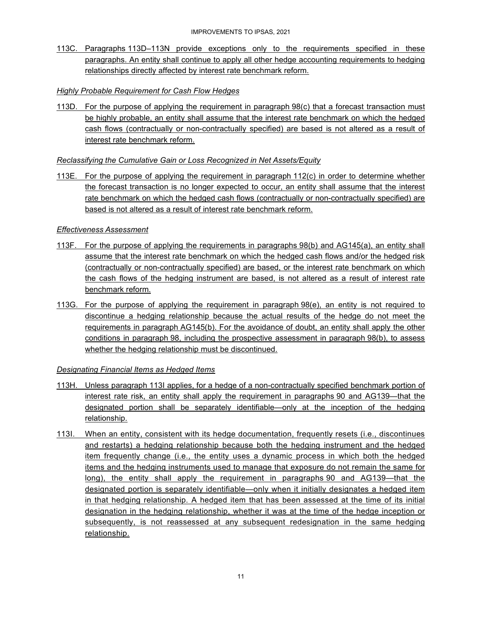113C. Paragraphs 113D–113N provide exceptions only to the requirements specified in these paragraphs. An entity shall continue to apply all other hedge accounting requirements to hedging relationships directly affected by interest rate benchmark reform.

#### *Highly Probable Requirement for Cash Flow Hedges*

113D. For the purpose of applying the requirement in paragraph 98(c) that a forecast transaction must be highly probable, an entity shall assume that the interest rate benchmark on which the hedged cash flows (contractually or non-contractually specified) are based is not altered as a result of interest rate benchmark reform.

#### *Reclassifying the Cumulative Gain or Loss Recognized in Net Assets/Equity*

113E. For the purpose of applying the requirement in paragraph 112(c) in order to determine whether the forecast transaction is no longer expected to occur, an entity shall assume that the interest rate benchmark on which the hedged cash flows (contractually or non-contractually specified) are based is not altered as a result of interest rate benchmark reform.

#### *Effectiveness Assessment*

- 113F. For the purpose of applying the requirements in paragraphs 98(b) and AG145(a), an entity shall assume that the interest rate benchmark on which the hedged cash flows and/or the hedged risk (contractually or non-contractually specified) are based, or the interest rate benchmark on which the cash flows of the hedging instrument are based, is not altered as a result of interest rate benchmark reform.
- 113G. For the purpose of applying the requirement in paragraph 98(e), an entity is not required to discontinue a hedging relationship because the actual results of the hedge do not meet the requirements in paragraph AG145(b). For the avoidance of doubt, an entity shall apply the other conditions in paragraph 98, including the prospective assessment in paragraph 98(b), to assess whether the hedging relationship must be discontinued.

#### *Designating Financial Items as Hedged Items*

- 113H. Unless paragraph 113I applies, for a hedge of a non-contractually specified benchmark portion of interest rate risk, an entity shall apply the requirement in paragraphs 90 and AG139—that the designated portion shall be separately identifiable—only at the inception of the hedging relationship.
- 113I. When an entity, consistent with its hedge documentation, frequently resets (i.e., discontinues and restarts) a hedging relationship because both the hedging instrument and the hedged item frequently change (i.e., the entity uses a dynamic process in which both the hedged items and the hedging instruments used to manage that exposure do not remain the same for long), the entity shall apply the requirement in paragraphs 90 and AG139—that the designated portion is separately identifiable—only when it initially designates a hedged item in that hedging relationship. A hedged item that has been assessed at the time of its initial designation in the hedging relationship, whether it was at the time of the hedge inception or subsequently, is not reassessed at any subsequent redesignation in the same hedging relationship.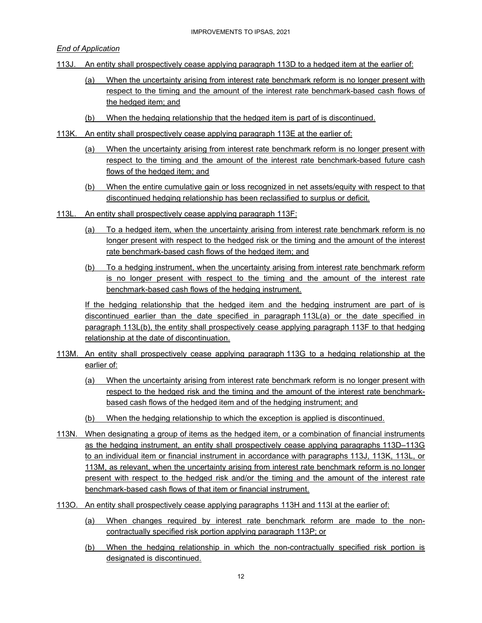*End of Application* 

- 113J. An entity shall prospectively cease applying paragraph 113D to a hedged item at the earlier of:
	- (a) When the uncertainty arising from interest rate benchmark reform is no longer present with respect to the timing and the amount of the interest rate benchmark-based cash flows of the hedged item; and
	- (b) When the hedging relationship that the hedged item is part of is discontinued.
- 113K. An entity shall prospectively cease applying paragraph 113E at the earlier of:
	- (a) When the uncertainty arising from interest rate benchmark reform is no longer present with respect to the timing and the amount of the interest rate benchmark-based future cash flows of the hedged item; and
	- (b) When the entire cumulative gain or loss recognized in net assets/equity with respect to that discontinued hedging relationship has been reclassified to surplus or deficit.
- 113L. An entity shall prospectively cease applying paragraph 113F:
	- (a) To a hedged item, when the uncertainty arising from interest rate benchmark reform is no longer present with respect to the hedged risk or the timing and the amount of the interest rate benchmark-based cash flows of the hedged item; and
	- (b) To a hedging instrument, when the uncertainty arising from interest rate benchmark reform is no longer present with respect to the timing and the amount of the interest rate benchmark-based cash flows of the hedging instrument.

If the hedging relationship that the hedged item and the hedging instrument are part of is discontinued earlier than the date specified in paragraph 113L(a) or the date specified in paragraph 113L(b), the entity shall prospectively cease applying paragraph 113F to that hedging relationship at the date of discontinuation.

- 113M. An entity shall prospectively cease applying paragraph 113G to a hedging relationship at the earlier of:
	- (a) When the uncertainty arising from interest rate benchmark reform is no longer present with respect to the hedged risk and the timing and the amount of the interest rate benchmarkbased cash flows of the hedged item and of the hedging instrument; and
	- (b) When the hedging relationship to which the exception is applied is discontinued.
- 113N. When designating a group of items as the hedged item, or a combination of financial instruments as the hedging instrument, an entity shall prospectively cease applying paragraphs 113D–113G to an individual item or financial instrument in accordance with paragraphs 113J, 113K, 113L, or 113M, as relevant, when the uncertainty arising from interest rate benchmark reform is no longer present with respect to the hedged risk and/or the timing and the amount of the interest rate benchmark-based cash flows of that item or financial instrument.
- 113O. An entity shall prospectively cease applying paragraphs 113H and 113I at the earlier of:
	- (a) When changes required by interest rate benchmark reform are made to the noncontractually specified risk portion applying paragraph 113P; or
	- (b) When the hedging relationship in which the non-contractually specified risk portion is designated is discontinued.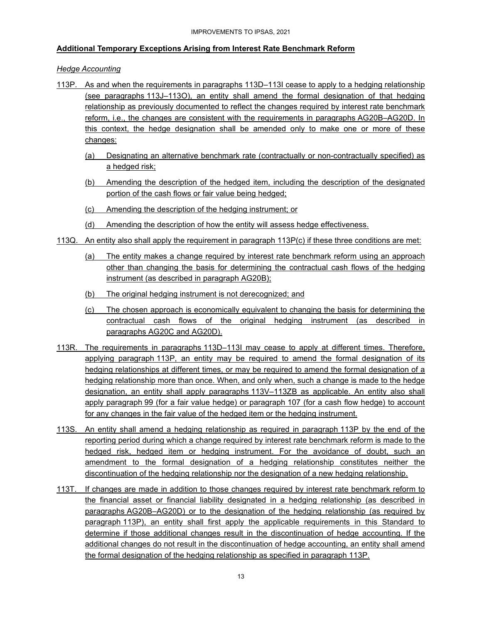#### **Additional Temporary Exceptions Arising from Interest Rate Benchmark Reform**

#### *Hedge Accounting*

- 113P. As and when the requirements in paragraphs 113D–113I cease to apply to a hedging relationship (see paragraphs 113J–113O), an entity shall amend the formal designation of that hedging relationship as previously documented to reflect the changes required by interest rate benchmark reform, i.e., the changes are consistent with the requirements in paragraphs AG20B–AG20D. In this context, the hedge designation shall be amended only to make one or more of these changes:
	- (a) Designating an alternative benchmark rate (contractually or non-contractually specified) as a hedged risk;
	- (b) Amending the description of the hedged item, including the description of the designated portion of the cash flows or fair value being hedged;
	- (c) Amending the description of the hedging instrument; or
	- (d) Amending the description of how the entity will assess hedge effectiveness.
- 113Q. An entity also shall apply the requirement in paragraph 113P(c) if these three conditions are met:
	- (a) The entity makes a change required by interest rate benchmark reform using an approach other than changing the basis for determining the contractual cash flows of the hedging instrument (as described in paragraph AG20B);
	- (b) The original hedging instrument is not derecognized; and
	- (c) The chosen approach is economically equivalent to changing the basis for determining the contractual cash flows of the original hedging instrument (as described in paragraphs AG20C and AG20D).
- 113R. The requirements in paragraphs 113D–113I may cease to apply at different times. Therefore, applying paragraph 113P, an entity may be required to amend the formal designation of its hedging relationships at different times, or may be required to amend the formal designation of a hedging relationship more than once. When, and only when, such a change is made to the hedge designation, an entity shall apply paragraphs 113V–113ZB as applicable. An entity also shall apply paragraph 99 (for a fair value hedge) or paragraph 107 (for a cash flow hedge) to account for any changes in the fair value of the hedged item or the hedging instrument.
- 113S. An entity shall amend a hedging relationship as required in paragraph 113P by the end of the reporting period during which a change required by interest rate benchmark reform is made to the hedged risk, hedged item or hedging instrument. For the avoidance of doubt, such an amendment to the formal designation of a hedging relationship constitutes neither the discontinuation of the hedging relationship nor the designation of a new hedging relationship.
- 113T. If changes are made in addition to those changes required by interest rate benchmark reform to the financial asset or financial liability designated in a hedging relationship (as described in paragraphs AG20B–AG20D) or to the designation of the hedging relationship (as required by paragraph 113P), an entity shall first apply the applicable requirements in this Standard to determine if those additional changes result in the discontinuation of hedge accounting. If the additional changes do not result in the discontinuation of hedge accounting, an entity shall amend the formal designation of the hedging relationship as specified in paragraph 113P.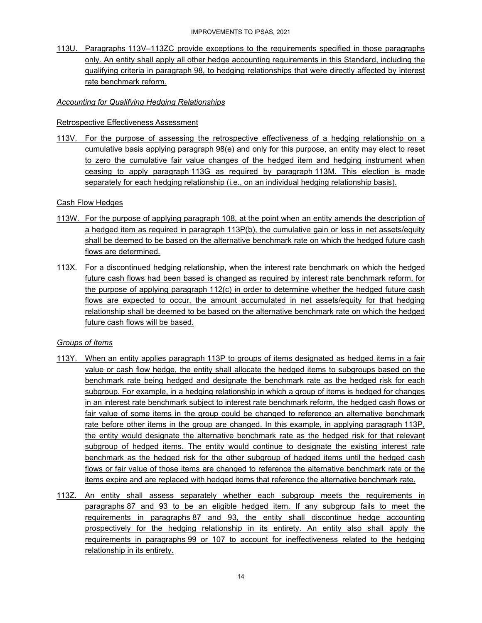113U. Paragraphs 113V–113ZC provide exceptions to the requirements specified in those paragraphs only. An entity shall apply all other hedge accounting requirements in this Standard, including the qualifying criteria in paragraph 98, to hedging relationships that were directly affected by interest rate benchmark reform.

#### *Accounting for Qualifying Hedging Relationships*

#### Retrospective Effectiveness Assessment

113V. For the purpose of assessing the retrospective effectiveness of a hedging relationship on a cumulative basis applying paragraph 98(e) and only for this purpose, an entity may elect to reset to zero the cumulative fair value changes of the hedged item and hedging instrument when ceasing to apply paragraph 113G as required by paragraph 113M. This election is made separately for each hedging relationship (i.e., on an individual hedging relationship basis).

#### Cash Flow Hedges

- 113W. For the purpose of applying paragraph 108, at the point when an entity amends the description of a hedged item as required in paragraph 113P(b), the cumulative gain or loss in net assets/equity shall be deemed to be based on the alternative benchmark rate on which the hedged future cash flows are determined.
- 113X. For a discontinued hedging relationship, when the interest rate benchmark on which the hedged future cash flows had been based is changed as required by interest rate benchmark reform, for the purpose of applying paragraph 112(c) in order to determine whether the hedged future cash flows are expected to occur, the amount accumulated in net assets/equity for that hedging relationship shall be deemed to be based on the alternative benchmark rate on which the hedged future cash flows will be based.

#### *Groups of Items*

- 113Y. When an entity applies paragraph 113P to groups of items designated as hedged items in a fair value or cash flow hedge, the entity shall allocate the hedged items to subgroups based on the benchmark rate being hedged and designate the benchmark rate as the hedged risk for each subgroup. For example, in a hedging relationship in which a group of items is hedged for changes in an interest rate benchmark subject to interest rate benchmark reform, the hedged cash flows or fair value of some items in the group could be changed to reference an alternative benchmark rate before other items in the group are changed. In this example, in applying paragraph 113P, the entity would designate the alternative benchmark rate as the hedged risk for that relevant subgroup of hedged items. The entity would continue to designate the existing interest rate benchmark as the hedged risk for the other subgroup of hedged items until the hedged cash flows or fair value of those items are changed to reference the alternative benchmark rate or the items expire and are replaced with hedged items that reference the alternative benchmark rate.
- 113Z. An entity shall assess separately whether each subgroup meets the requirements in paragraphs 87 and 93 to be an eligible hedged item. If any subgroup fails to meet the requirements in paragraphs 87 and 93, the entity shall discontinue hedge accounting prospectively for the hedging relationship in its entirety. An entity also shall apply the requirements in paragraphs 99 or 107 to account for ineffectiveness related to the hedging relationship in its entirety.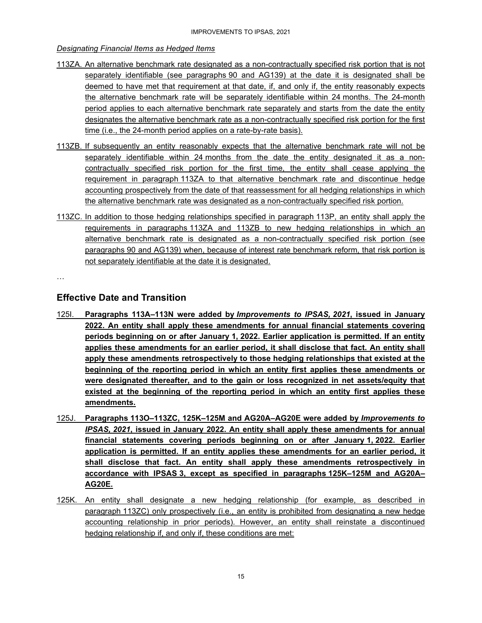#### *Designating Financial Items as Hedged Items*

- 113ZA. An alternative benchmark rate designated as a non-contractually specified risk portion that is not separately identifiable (see paragraphs 90 and AG139) at the date it is designated shall be deemed to have met that requirement at that date, if, and only if, the entity reasonably expects the alternative benchmark rate will be separately identifiable within 24 months. The 24-month period applies to each alternative benchmark rate separately and starts from the date the entity designates the alternative benchmark rate as a non-contractually specified risk portion for the first time (i.e., the 24-month period applies on a rate-by-rate basis).
- 113ZB. If subsequently an entity reasonably expects that the alternative benchmark rate will not be separately identifiable within 24 months from the date the entity designated it as a noncontractually specified risk portion for the first time, the entity shall cease applying the requirement in paragraph 113ZA to that alternative benchmark rate and discontinue hedge accounting prospectively from the date of that reassessment for all hedging relationships in which the alternative benchmark rate was designated as a non-contractually specified risk portion.
- 113ZC. In addition to those hedging relationships specified in paragraph 113P, an entity shall apply the requirements in paragraphs 113ZA and 113ZB to new hedging relationships in which an alternative benchmark rate is designated as a non-contractually specified risk portion (see paragraphs 90 and AG139) when, because of interest rate benchmark reform, that risk portion is not separately identifiable at the date it is designated.

…

### **Effective Date and Transition**

- 125I. **Paragraphs 113A–113N were added by** *Improvements to IPSAS, 2021***, issued in January 2022. An entity shall apply these amendments for annual financial statements covering periods beginning on or after January 1, 2022. Earlier application is permitted. If an entity applies these amendments for an earlier period, it shall disclose that fact. An entity shall apply these amendments retrospectively to those hedging relationships that existed at the beginning of the reporting period in which an entity first applies these amendments or were designated thereafter, and to the gain or loss recognized in net assets/equity that existed at the beginning of the reporting period in which an entity first applies these amendments.**
- 125J. **Paragraphs 113O–113ZC, 125K–125M and AG20A–AG20E were added by** *Improvements to IPSAS, 2021***, issued in January 2022. An entity shall apply these amendments for annual financial statements covering periods beginning on or after January 1, 2022. Earlier application is permitted. If an entity applies these amendments for an earlier period, it shall disclose that fact. An entity shall apply these amendments retrospectively in accordance with IPSAS 3, except as specified in paragraphs 125K–125M and AG20A– AG20E.**
- 125K. An entity shall designate a new hedging relationship (for example, as described in paragraph 113ZC) only prospectively (i.e., an entity is prohibited from designating a new hedge accounting relationship in prior periods). However, an entity shall reinstate a discontinued hedging relationship if, and only if, these conditions are met: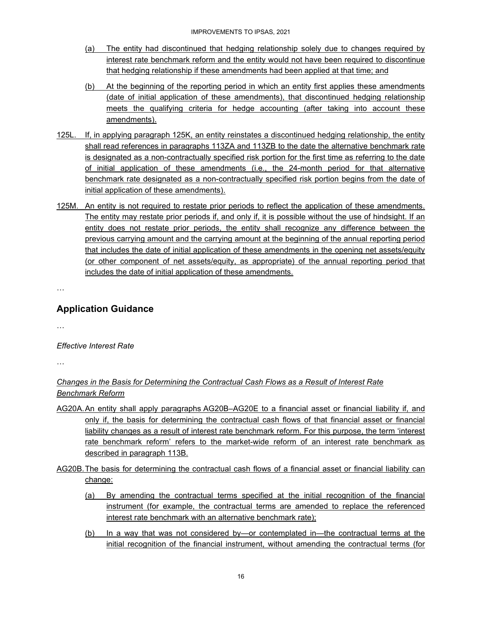- (a) The entity had discontinued that hedging relationship solely due to changes required by interest rate benchmark reform and the entity would not have been required to discontinue that hedging relationship if these amendments had been applied at that time; and
- (b) At the beginning of the reporting period in which an entity first applies these amendments (date of initial application of these amendments), that discontinued hedging relationship meets the qualifying criteria for hedge accounting (after taking into account these amendments).
- 125L. If, in applying paragraph 125K, an entity reinstates a discontinued hedging relationship, the entity shall read references in paragraphs 113ZA and 113ZB to the date the alternative benchmark rate is designated as a non-contractually specified risk portion for the first time as referring to the date of initial application of these amendments (i.e., the 24-month period for that alternative benchmark rate designated as a non-contractually specified risk portion begins from the date of initial application of these amendments).
- 125M. An entity is not required to restate prior periods to reflect the application of these amendments. The entity may restate prior periods if, and only if, it is possible without the use of hindsight. If an entity does not restate prior periods, the entity shall recognize any difference between the previous carrying amount and the carrying amount at the beginning of the annual reporting period that includes the date of initial application of these amendments in the opening net assets/equity (or other component of net assets/equity, as appropriate) of the annual reporting period that includes the date of initial application of these amendments.

…

### **Application Guidance**

…

*Effective Interest Rate* 

…

### *Changes in the Basis for Determining the Contractual Cash Flows as a Result of Interest Rate Benchmark Reform*

- AG20A. An entity shall apply paragraphs AG20B–AG20E to a financial asset or financial liability if, and only if, the basis for determining the contractual cash flows of that financial asset or financial liability changes as a result of interest rate benchmark reform. For this purpose, the term 'interest rate benchmark reform' refers to the market-wide reform of an interest rate benchmark as described in paragraph 113B.
- AG20B. The basis for determining the contractual cash flows of a financial asset or financial liability can change:
	- (a) By amending the contractual terms specified at the initial recognition of the financial instrument (for example, the contractual terms are amended to replace the referenced interest rate benchmark with an alternative benchmark rate);
	- (b) In a way that was not considered by—or contemplated in—the contractual terms at the initial recognition of the financial instrument, without amending the contractual terms (for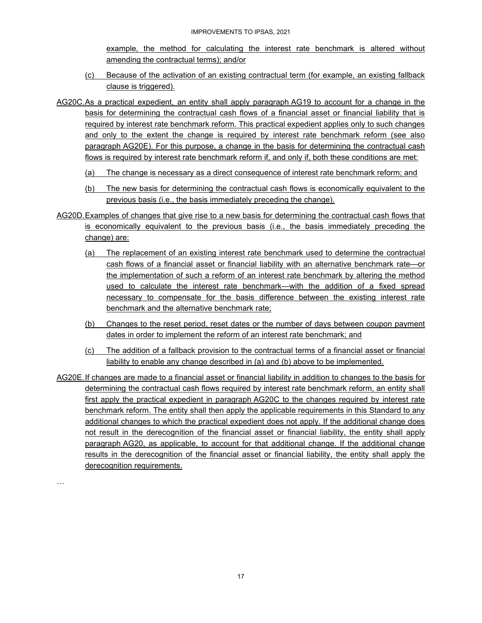example, the method for calculating the interest rate benchmark is altered without amending the contractual terms); and/or

- (c) Because of the activation of an existing contractual term (for example, an existing fallback clause is triggered).
- AG20C. As a practical expedient, an entity shall apply paragraph AG19 to account for a change in the basis for determining the contractual cash flows of a financial asset or financial liability that is required by interest rate benchmark reform. This practical expedient applies only to such changes and only to the extent the change is required by interest rate benchmark reform (see also paragraph AG20E). For this purpose, a change in the basis for determining the contractual cash flows is required by interest rate benchmark reform if, and only if, both these conditions are met:
	- (a) The change is necessary as a direct consequence of interest rate benchmark reform; and
	- (b) The new basis for determining the contractual cash flows is economically equivalent to the previous basis (i.e., the basis immediately preceding the change).
- AG20D. Examples of changes that give rise to a new basis for determining the contractual cash flows that is economically equivalent to the previous basis (i.e., the basis immediately preceding the change) are:
	- (a) The replacement of an existing interest rate benchmark used to determine the contractual cash flows of a financial asset or financial liability with an alternative benchmark rate—or the implementation of such a reform of an interest rate benchmark by altering the method used to calculate the interest rate benchmark—with the addition of a fixed spread necessary to compensate for the basis difference between the existing interest rate benchmark and the alternative benchmark rate;
	- (b) Changes to the reset period, reset dates or the number of days between coupon payment dates in order to implement the reform of an interest rate benchmark; and
	- (c) The addition of a fallback provision to the contractual terms of a financial asset or financial liability to enable any change described in (a) and (b) above to be implemented.

AG20E. If changes are made to a financial asset or financial liability in addition to changes to the basis for determining the contractual cash flows required by interest rate benchmark reform, an entity shall first apply the practical expedient in paragraph AG20C to the changes required by interest rate benchmark reform. The entity shall then apply the applicable requirements in this Standard to any additional changes to which the practical expedient does not apply. If the additional change does not result in the derecognition of the financial asset or financial liability, the entity shall apply paragraph AG20, as applicable, to account for that additional change. If the additional change results in the derecognition of the financial asset or financial liability, the entity shall apply the derecognition requirements.

…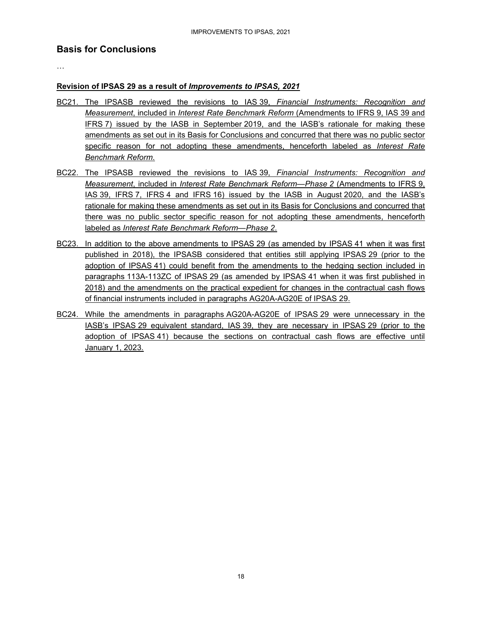### **Basis for Conclusions**

…

#### **Revision of IPSAS 29 as a result of** *Improvements to IPSAS, 2021*

- BC21. The IPSASB reviewed the revisions to IAS 39, *Financial Instruments: Recognition and Measurement*, included in *Interest Rate Benchmark Reform* (Amendments to IFRS 9, IAS 39 and IFRS 7) issued by the IASB in September 2019, and the IASB's rationale for making these amendments as set out in its Basis for Conclusions and concurred that there was no public sector specific reason for not adopting these amendments, henceforth labeled as *Interest Rate Benchmark Reform*.
- BC22. The IPSASB reviewed the revisions to IAS 39, *Financial Instruments: Recognition and Measurement*, included in *Interest Rate Benchmark Reform—Phase 2* (Amendments to IFRS 9, IAS 39, IFRS 7, IFRS 4 and IFRS 16) issued by the IASB in August 2020, and the IASB's rationale for making these amendments as set out in its Basis for Conclusions and concurred that there was no public sector specific reason for not adopting these amendments, henceforth labeled as *Interest Rate Benchmark Reform—Phase 2*.
- BC23. In addition to the above amendments to IPSAS 29 (as amended by IPSAS 41 when it was first published in 2018), the IPSASB considered that entities still applying IPSAS 29 (prior to the adoption of IPSAS 41) could benefit from the amendments to the hedging section included in paragraphs 113A-113ZC of IPSAS 29 (as amended by IPSAS 41 when it was first published in 2018) and the amendments on the practical expedient for changes in the contractual cash flows of financial instruments included in paragraphs AG20A-AG20E of IPSAS 29.
- BC24. While the amendments in paragraphs AG20A-AG20E of IPSAS 29 were unnecessary in the IASB's IPSAS 29 equivalent standard, IAS 39, they are necessary in IPSAS 29 (prior to the adoption of IPSAS 41) because the sections on contractual cash flows are effective until January 1, 2023.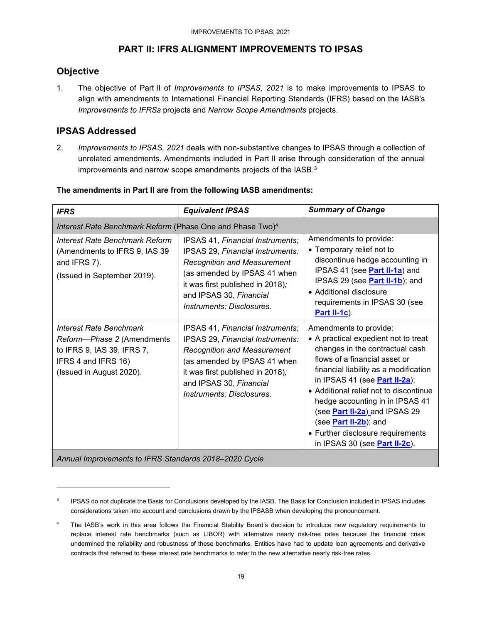### **PART II: IFRS ALIGNMENT IMPROVEMENTS TO IPSAS**

### **Objective**

1. The objective of Part II of *Improvements to IPSAS, 2021* is to make improvements to IPSAS to align with amendments to International Financial Reporting Standards (IFRS) based on the IASB's *Improvements to IFRSs* projects and *Narrow Scope Amendments* projects.

### **IPSAS Addressed**

2. *Improvements to IPSAS, 2021* deals with non-substantive changes to IPSAS through a collection of unrelated amendments. Amendments included in Part II arise through consideration of the annual improvements and narrow scope amendments projects of the IASB.<sup>3</sup>

| <b>IFRS</b>                                                                                                                                   | <b>Equivalent IPSAS</b>                                                                                                                                                                                                                | <b>Summary of Change</b>                                                                                                                                                                                                                                                                                                                                                                                                                  |  |  |
|-----------------------------------------------------------------------------------------------------------------------------------------------|----------------------------------------------------------------------------------------------------------------------------------------------------------------------------------------------------------------------------------------|-------------------------------------------------------------------------------------------------------------------------------------------------------------------------------------------------------------------------------------------------------------------------------------------------------------------------------------------------------------------------------------------------------------------------------------------|--|--|
| Interest Rate Benchmark Reform (Phase One and Phase Two) <sup>4</sup>                                                                         |                                                                                                                                                                                                                                        |                                                                                                                                                                                                                                                                                                                                                                                                                                           |  |  |
| <b>Interest Rate Benchmark Reform</b><br>(Amendments to IFRS 9, IAS 39<br>and IFRS 7).<br>(Issued in September 2019).                         | IPSAS 41, Financial Instruments;<br>IPSAS 29, Financial Instruments:<br><b>Recognition and Measurement</b><br>(as amended by IPSAS 41 when<br>it was first published in 2018);<br>and IPSAS 30, Financial<br>Instruments: Disclosures. | Amendments to provide:<br>• Temporary relief not to<br>discontinue hedge accounting in<br>IPSAS 41 (see <b>Part II-1a</b> ) and<br>IPSAS 29 (see <b>Part II-1b</b> ); and<br>• Additional disclosure<br>requirements in IPSAS 30 (see<br>Part II-1c).                                                                                                                                                                                     |  |  |
| <b>Interest Rate Benchmark</b><br>Reform-Phase 2 (Amendments<br>to IFRS 9, IAS 39, IFRS 7,<br>IFRS 4 and IFRS 16)<br>(Issued in August 2020). | IPSAS 41, Financial Instruments;<br>IPSAS 29, Financial Instruments:<br><b>Recognition and Measurement</b><br>(as amended by IPSAS 41 when<br>it was first published in 2018);<br>and IPSAS 30, Financial<br>Instruments: Disclosures. | Amendments to provide:<br>• A practical expedient not to treat<br>changes in the contractual cash<br>flows of a financial asset or<br>financial liability as a modification<br>in IPSAS 41 (see <b>Part II-2a</b> );<br>• Additional relief not to discontinue<br>hedge accounting in in IPSAS 41<br>(see Part II-2a) and IPSAS 29<br>(see <b>Part II-2b</b> ); and<br>• Further disclosure requirements<br>in IPSAS 30 (see Part II-2c). |  |  |
| Annual Improvements to IFRS Standards 2018-2020 Cycle                                                                                         |                                                                                                                                                                                                                                        |                                                                                                                                                                                                                                                                                                                                                                                                                                           |  |  |

#### **The amendments in Part II are from the following IASB amendments:**

3 IPSAS do not duplicate the Basis for Conclusions developed by the IASB. The Basis for Conclusion included in IPSAS includes considerations taken into account and conclusions drawn by the IPSASB when developing the pronouncement.

<sup>4</sup> The IASB's work in this area follows the Financial Stability Board's decision to introduce new regulatory requirements to replace interest rate benchmarks (such as LIBOR) with alternative nearly risk-free rates because the financial crisis undermined the reliability and robustness of these benchmarks. Entities have had to update loan agreements and derivative contracts that referred to these interest rate benchmarks to refer to the new alternative nearly risk-free rates.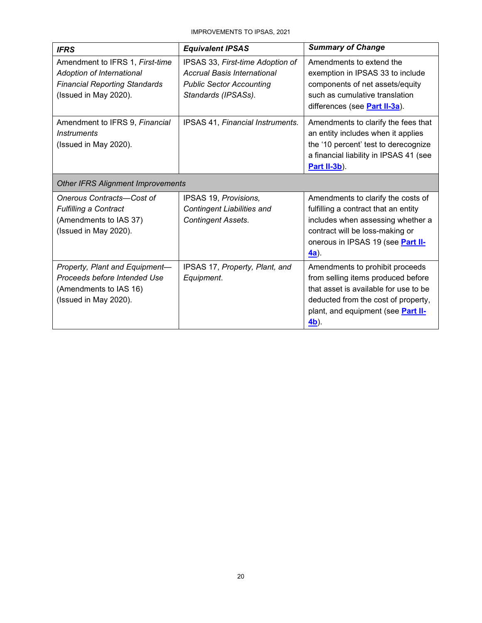IMPROVEMENTS TO IPSAS, 2021

| <b>IFRS</b>                                                                                                                   | <b>Equivalent IPSAS</b>                                                                                                   | <b>Summary of Change</b>                                                                                                                                                                                    |  |  |
|-------------------------------------------------------------------------------------------------------------------------------|---------------------------------------------------------------------------------------------------------------------------|-------------------------------------------------------------------------------------------------------------------------------------------------------------------------------------------------------------|--|--|
| Amendment to IFRS 1, First-time<br>Adoption of International<br><b>Financial Reporting Standards</b><br>(Issued in May 2020). | IPSAS 33, First-time Adoption of<br>Accrual Basis International<br><b>Public Sector Accounting</b><br>Standards (IPSASs). | Amendments to extend the<br>exemption in IPSAS 33 to include<br>components of net assets/equity<br>such as cumulative translation<br>differences (see Part II-3a).                                          |  |  |
| Amendment to IFRS 9, Financial<br><i><u><b>Instruments</b></u></i><br>(Issued in May 2020).                                   | IPSAS 41, Financial Instruments.                                                                                          | Amendments to clarify the fees that<br>an entity includes when it applies<br>the '10 percent' test to derecognize<br>a financial liability in IPSAS 41 (see<br>Part II-3b).                                 |  |  |
| <b>Other IFRS Alignment Improvements</b>                                                                                      |                                                                                                                           |                                                                                                                                                                                                             |  |  |
| Onerous Contracts-Cost of<br><b>Fulfilling a Contract</b><br>(Amendments to IAS 37)<br>(Issued in May 2020).                  | IPSAS 19, Provisions,<br><b>Contingent Liabilities and</b><br><b>Contingent Assets.</b>                                   | Amendments to clarify the costs of<br>fulfilling a contract that an entity<br>includes when assessing whether a<br>contract will be loss-making or<br>onerous in IPSAS 19 (see Part II-<br><u>4a</u> ).     |  |  |
| Property, Plant and Equipment-<br>Proceeds before Intended Use<br>(Amendments to IAS 16)<br>(Issued in May 2020).             | IPSAS 17, Property, Plant, and<br>Equipment.                                                                              | Amendments to prohibit proceeds<br>from selling items produced before<br>that asset is available for use to be<br>deducted from the cost of property,<br>plant, and equipment (see Part II-<br><u>4b</u> ). |  |  |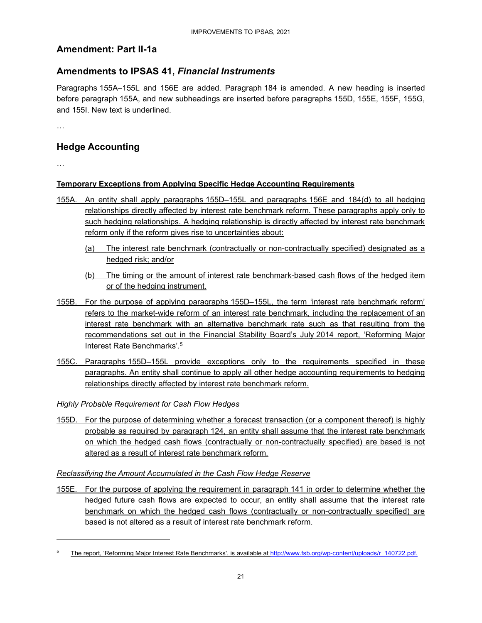### **Amendment: Part II-1a**

### **Amendments to IPSAS 41,** *Financial Instruments*

Paragraphs 155A–155L and 156E are added. Paragraph 184 is amended. A new heading is inserted before paragraph 155A, and new subheadings are inserted before paragraphs 155D, 155E, 155F, 155G, and 155I. New text is underlined.

…

### **Hedge Accounting**

…

### **Temporary Exceptions from Applying Specific Hedge Accounting Requirements**

- 155A. An entity shall apply paragraphs 155D–155L and paragraphs 156E and 184(d) to all hedging relationships directly affected by interest rate benchmark reform. These paragraphs apply only to such hedging relationships. A hedging relationship is directly affected by interest rate benchmark reform only if the reform gives rise to uncertainties about:
	- (a) The interest rate benchmark (contractually or non-contractually specified) designated as a hedged risk; and/or
	- (b) The timing or the amount of interest rate benchmark-based cash flows of the hedged item or of the hedging instrument.
- 155B. For the purpose of applying paragraphs 155D–155L, the term 'interest rate benchmark reform' refers to the market-wide reform of an interest rate benchmark, including the replacement of an interest rate benchmark with an alternative benchmark rate such as that resulting from the recommendations set out in the Financial Stability Board's July 2014 report, 'Reforming Major Interest Rate Benchmarks'.<sup>5</sup>
- 155C. Paragraphs 155D–155L provide exceptions only to the requirements specified in these paragraphs. An entity shall continue to apply all other hedge accounting requirements to hedging relationships directly affected by interest rate benchmark reform.

*Highly Probable Requirement for Cash Flow Hedges* 

155D. For the purpose of determining whether a forecast transaction (or a component thereof) is highly probable as required by paragraph 124, an entity shall assume that the interest rate benchmark on which the hedged cash flows (contractually or non-contractually specified) are based is not altered as a result of interest rate benchmark reform.

#### *Reclassifying the Amount Accumulated in the Cash Flow Hedge Reserve*

155E. For the purpose of applying the requirement in paragraph 141 in order to determine whether the hedged future cash flows are expected to occur, an entity shall assume that the interest rate benchmark on which the hedged cash flows (contractually or non-contractually specified) are based is not altered as a result of interest rate benchmark reform.

<sup>5</sup> The report, 'Reforming Major Interest Rate Benchmarks', is available at http://www.fsb.org/wp-content/uploads/r\_140722.pdf.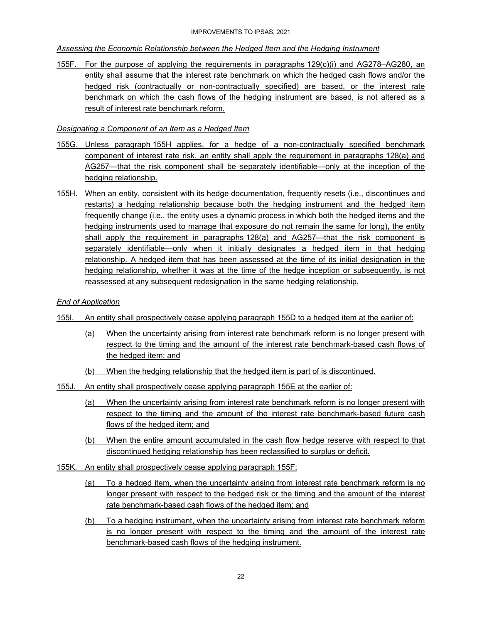#### *Assessing the Economic Relationship between the Hedged Item and the Hedging Instrument*

155F. For the purpose of applying the requirements in paragraphs 129(c)(i) and AG278–AG280, an entity shall assume that the interest rate benchmark on which the hedged cash flows and/or the hedged risk (contractually or non-contractually specified) are based, or the interest rate benchmark on which the cash flows of the hedging instrument are based, is not altered as a result of interest rate benchmark reform.

#### *Designating a Component of an Item as a Hedged Item*

- 155G. Unless paragraph 155H applies, for a hedge of a non-contractually specified benchmark component of interest rate risk, an entity shall apply the requirement in paragraphs 128(a) and AG257—that the risk component shall be separately identifiable—only at the inception of the hedging relationship.
- 155H. When an entity, consistent with its hedge documentation, frequently resets (i.e., discontinues and restarts) a hedging relationship because both the hedging instrument and the hedged item frequently change (i.e., the entity uses a dynamic process in which both the hedged items and the hedging instruments used to manage that exposure do not remain the same for long), the entity shall apply the requirement in paragraphs 128(a) and AG257—that the risk component is separately identifiable—only when it initially designates a hedged item in that hedging relationship. A hedged item that has been assessed at the time of its initial designation in the hedging relationship, whether it was at the time of the hedge inception or subsequently, is not reassessed at any subsequent redesignation in the same hedging relationship.

#### *End of Application*

- 155I. An entity shall prospectively cease applying paragraph 155D to a hedged item at the earlier of:
	- (a) When the uncertainty arising from interest rate benchmark reform is no longer present with respect to the timing and the amount of the interest rate benchmark-based cash flows of the hedged item; and
	- (b) When the hedging relationship that the hedged item is part of is discontinued.
- 155J. An entity shall prospectively cease applying paragraph 155E at the earlier of:
	- (a) When the uncertainty arising from interest rate benchmark reform is no longer present with respect to the timing and the amount of the interest rate benchmark-based future cash flows of the hedged item; and
	- (b) When the entire amount accumulated in the cash flow hedge reserve with respect to that discontinued hedging relationship has been reclassified to surplus or deficit.
- 155K. An entity shall prospectively cease applying paragraph 155F:
	- (a) To a hedged item, when the uncertainty arising from interest rate benchmark reform is no longer present with respect to the hedged risk or the timing and the amount of the interest rate benchmark-based cash flows of the hedged item; and
	- (b) To a hedging instrument, when the uncertainty arising from interest rate benchmark reform is no longer present with respect to the timing and the amount of the interest rate benchmark-based cash flows of the hedging instrument.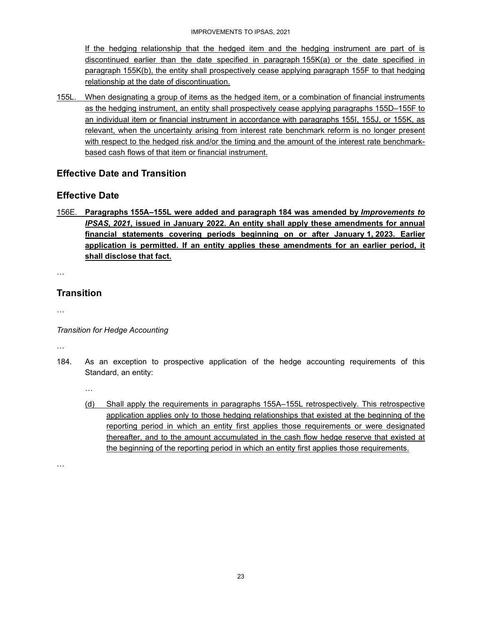If the hedging relationship that the hedged item and the hedging instrument are part of is discontinued earlier than the date specified in paragraph 155K(a) or the date specified in paragraph 155K(b), the entity shall prospectively cease applying paragraph 155F to that hedging relationship at the date of discontinuation.

155L. When designating a group of items as the hedged item, or a combination of financial instruments as the hedging instrument, an entity shall prospectively cease applying paragraphs 155D–155F to an individual item or financial instrument in accordance with paragraphs 155I, 155J, or 155K, as relevant, when the uncertainty arising from interest rate benchmark reform is no longer present with respect to the hedged risk and/or the timing and the amount of the interest rate benchmarkbased cash flows of that item or financial instrument.

### **Effective Date and Transition**

### **Effective Date**

156E. **Paragraphs 155A–155L were added and paragraph 184 was amended by** *Improvements to IPSAS, 2021***, issued in January 2022. An entity shall apply these amendments for annual financial statements covering periods beginning on or after January 1, 2023. Earlier application is permitted. If an entity applies these amendments for an earlier period, it shall disclose that fact.** 

…

### **Transition**

…

*Transition for Hedge Accounting* 

…

184. As an exception to prospective application of the hedge accounting requirements of this Standard, an entity:

…

(d) Shall apply the requirements in paragraphs 155A–155L retrospectively. This retrospective application applies only to those hedging relationships that existed at the beginning of the reporting period in which an entity first applies those requirements or were designated thereafter, and to the amount accumulated in the cash flow hedge reserve that existed at the beginning of the reporting period in which an entity first applies those requirements.

…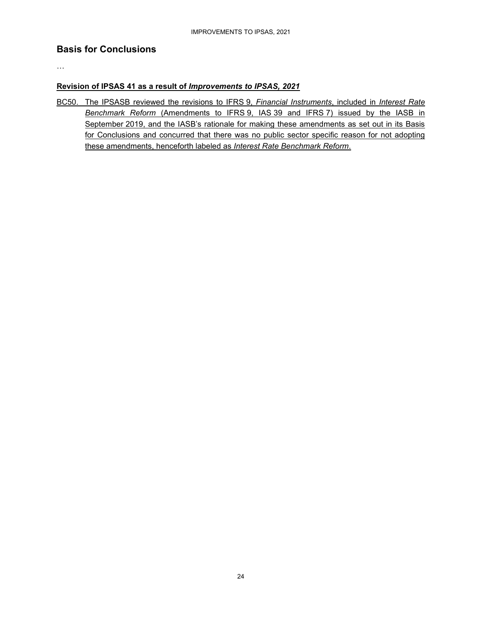### **Basis for Conclusions**

…

#### **Revision of IPSAS 41 as a result of** *Improvements to IPSAS, 2021*

BC50. The IPSASB reviewed the revisions to IFRS 9, *Financial Instruments*, included in *Interest Rate Benchmark Reform* (Amendments to IFRS 9, IAS 39 and IFRS 7) issued by the IASB in September 2019, and the IASB's rationale for making these amendments as set out in its Basis for Conclusions and concurred that there was no public sector specific reason for not adopting these amendments, henceforth labeled as *Interest Rate Benchmark Reform*.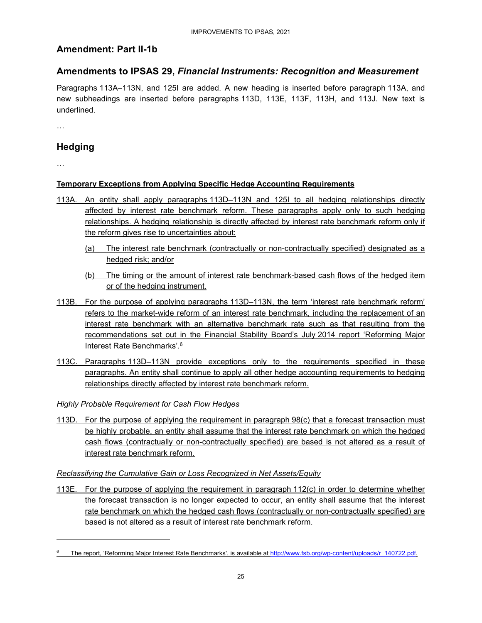### **Amendment: Part II-1b**

### **Amendments to IPSAS 29,** *Financial Instruments: Recognition and Measurement*

Paragraphs 113A–113N, and 125I are added. A new heading is inserted before paragraph 113A, and new subheadings are inserted before paragraphs 113D, 113E, 113F, 113H, and 113J. New text is underlined.

…

### **Hedging**

…

### **Temporary Exceptions from Applying Specific Hedge Accounting Requirements**

- 113A. An entity shall apply paragraphs 113D–113N and 125I to all hedging relationships directly affected by interest rate benchmark reform. These paragraphs apply only to such hedging relationships. A hedging relationship is directly affected by interest rate benchmark reform only if the reform gives rise to uncertainties about:
	- (a) The interest rate benchmark (contractually or non-contractually specified) designated as a hedged risk; and/or
	- (b) The timing or the amount of interest rate benchmark-based cash flows of the hedged item or of the hedging instrument.
- 113B. For the purpose of applying paragraphs 113D–113N, the term 'interest rate benchmark reform' refers to the market-wide reform of an interest rate benchmark, including the replacement of an interest rate benchmark with an alternative benchmark rate such as that resulting from the recommendations set out in the Financial Stability Board's July 2014 report 'Reforming Major Interest Rate Benchmarks'.<sup>6</sup>
- 113C. Paragraphs 113D–113N provide exceptions only to the requirements specified in these paragraphs. An entity shall continue to apply all other hedge accounting requirements to hedging relationships directly affected by interest rate benchmark reform.

*Highly Probable Requirement for Cash Flow Hedges* 

113D. For the purpose of applying the requirement in paragraph 98(c) that a forecast transaction must be highly probable, an entity shall assume that the interest rate benchmark on which the hedged cash flows (contractually or non-contractually specified) are based is not altered as a result of interest rate benchmark reform.

#### *Reclassifying the Cumulative Gain or Loss Recognized in Net Assets/Equity*

113E. For the purpose of applying the requirement in paragraph 112(c) in order to determine whether the forecast transaction is no longer expected to occur, an entity shall assume that the interest rate benchmark on which the hedged cash flows (contractually or non-contractually specified) are based is not altered as a result of interest rate benchmark reform.

<sup>6</sup> The report, 'Reforming Major Interest Rate Benchmarks', is available at http://www.fsb.org/wp-content/uploads/r\_140722.pdf.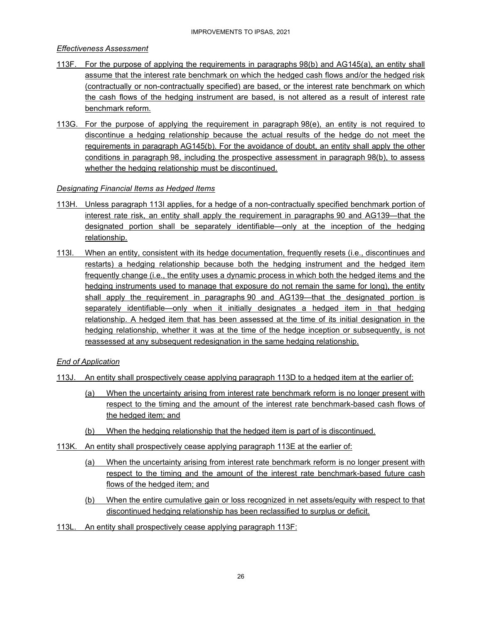#### *Effectiveness Assessment*

- 113F. For the purpose of applying the requirements in paragraphs 98(b) and AG145(a), an entity shall assume that the interest rate benchmark on which the hedged cash flows and/or the hedged risk (contractually or non-contractually specified) are based, or the interest rate benchmark on which the cash flows of the hedging instrument are based, is not altered as a result of interest rate benchmark reform.
- 113G. For the purpose of applying the requirement in paragraph 98(e), an entity is not required to discontinue a hedging relationship because the actual results of the hedge do not meet the requirements in paragraph AG145(b). For the avoidance of doubt, an entity shall apply the other conditions in paragraph 98, including the prospective assessment in paragraph 98(b), to assess whether the hedging relationship must be discontinued.

#### *Designating Financial Items as Hedged Items*

- 113H. Unless paragraph 113I applies, for a hedge of a non-contractually specified benchmark portion of interest rate risk, an entity shall apply the requirement in paragraphs 90 and AG139—that the designated portion shall be separately identifiable—only at the inception of the hedging relationship.
- 113I. When an entity, consistent with its hedge documentation, frequently resets (i.e., discontinues and restarts) a hedging relationship because both the hedging instrument and the hedged item frequently change (i.e., the entity uses a dynamic process in which both the hedged items and the hedging instruments used to manage that exposure do not remain the same for long), the entity shall apply the requirement in paragraphs 90 and AG139—that the designated portion is separately identifiable—only when it initially designates a hedged item in that hedging relationship. A hedged item that has been assessed at the time of its initial designation in the hedging relationship, whether it was at the time of the hedge inception or subsequently, is not reassessed at any subsequent redesignation in the same hedging relationship.

#### *End of Application*

- 113J. An entity shall prospectively cease applying paragraph 113D to a hedged item at the earlier of:
	- (a) When the uncertainty arising from interest rate benchmark reform is no longer present with respect to the timing and the amount of the interest rate benchmark-based cash flows of the hedged item; and
	- (b) When the hedging relationship that the hedged item is part of is discontinued.
- 113K. An entity shall prospectively cease applying paragraph 113E at the earlier of:
	- (a) When the uncertainty arising from interest rate benchmark reform is no longer present with respect to the timing and the amount of the interest rate benchmark-based future cash flows of the hedged item; and
	- (b) When the entire cumulative gain or loss recognized in net assets/equity with respect to that discontinued hedging relationship has been reclassified to surplus or deficit.
- 113L. An entity shall prospectively cease applying paragraph 113F: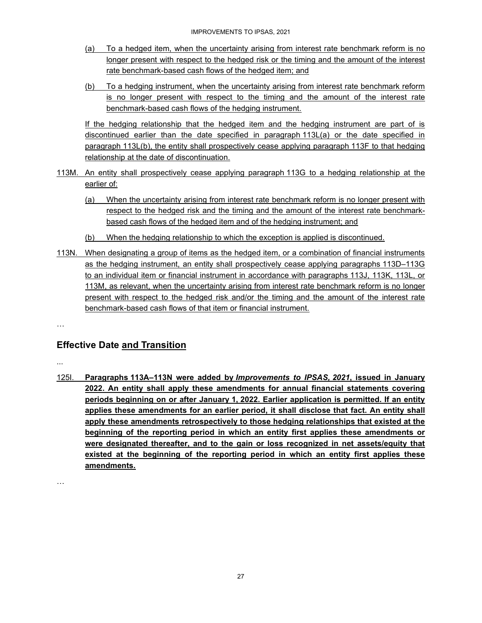- (a) To a hedged item, when the uncertainty arising from interest rate benchmark reform is no longer present with respect to the hedged risk or the timing and the amount of the interest rate benchmark-based cash flows of the hedged item; and
- (b) To a hedging instrument, when the uncertainty arising from interest rate benchmark reform is no longer present with respect to the timing and the amount of the interest rate benchmark-based cash flows of the hedging instrument.

If the hedging relationship that the hedged item and the hedging instrument are part of is discontinued earlier than the date specified in paragraph 113L(a) or the date specified in paragraph 113L(b), the entity shall prospectively cease applying paragraph 113F to that hedging relationship at the date of discontinuation.

- 113M. An entity shall prospectively cease applying paragraph 113G to a hedging relationship at the earlier of:
	- (a) When the uncertainty arising from interest rate benchmark reform is no longer present with respect to the hedged risk and the timing and the amount of the interest rate benchmarkbased cash flows of the hedged item and of the hedging instrument; and
	- (b) When the hedging relationship to which the exception is applied is discontinued.
- 113N. When designating a group of items as the hedged item, or a combination of financial instruments as the hedging instrument, an entity shall prospectively cease applying paragraphs 113D–113G to an individual item or financial instrument in accordance with paragraphs 113J, 113K, 113L, or 113M, as relevant, when the uncertainty arising from interest rate benchmark reform is no longer present with respect to the hedged risk and/or the timing and the amount of the interest rate benchmark-based cash flows of that item or financial instrument.
- …

### **Effective Date and Transition**

...

125I. **Paragraphs 113A–113N were added by** *Improvements to IPSAS, 2021***, issued in January 2022. An entity shall apply these amendments for annual financial statements covering periods beginning on or after January 1, 2022. Earlier application is permitted. If an entity applies these amendments for an earlier period, it shall disclose that fact. An entity shall apply these amendments retrospectively to those hedging relationships that existed at the beginning of the reporting period in which an entity first applies these amendments or were designated thereafter, and to the gain or loss recognized in net assets/equity that existed at the beginning of the reporting period in which an entity first applies these amendments.** 

…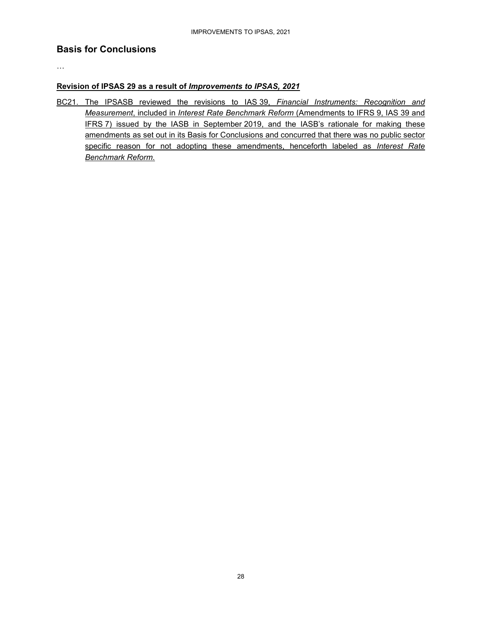### **Basis for Conclusions**

…

#### **Revision of IPSAS 29 as a result of** *Improvements to IPSAS, 2021*

BC21. The IPSASB reviewed the revisions to IAS 39, *Financial Instruments: Recognition and Measurement*, included in *Interest Rate Benchmark Reform* (Amendments to IFRS 9, IAS 39 and IFRS 7) issued by the IASB in September 2019, and the IASB's rationale for making these amendments as set out in its Basis for Conclusions and concurred that there was no public sector specific reason for not adopting these amendments, henceforth labeled as *Interest Rate Benchmark Reform*.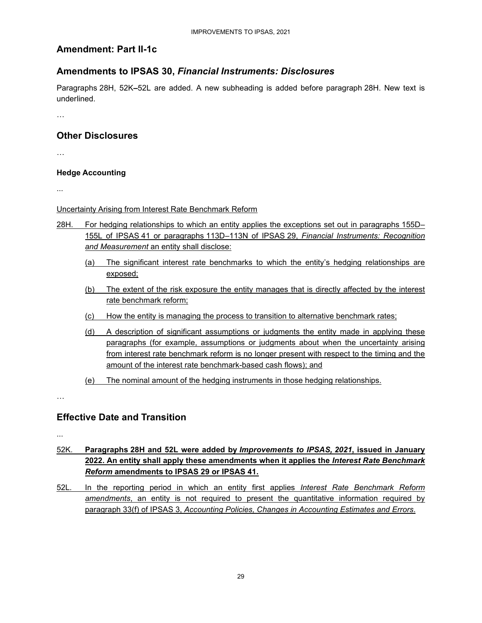### **Amendment: Part II-1c**

### **Amendments to IPSAS 30,** *Financial Instruments: Disclosures*

Paragraphs 28H, 52K**–**52L are added. A new subheading is added before paragraph 28H. New text is underlined.

…

### **Other Disclosures**

…

#### **Hedge Accounting**

...

Uncertainty Arising from Interest Rate Benchmark Reform

- 28H. For hedging relationships to which an entity applies the exceptions set out in paragraphs 155D-155L of IPSAS 41 or paragraphs 113D–113N of IPSAS 29, *Financial Instruments: Recognition and Measurement* an entity shall disclose:
	- (a) The significant interest rate benchmarks to which the entity's hedging relationships are exposed;
	- (b) The extent of the risk exposure the entity manages that is directly affected by the interest rate benchmark reform;
	- (c) How the entity is managing the process to transition to alternative benchmark rates;
	- (d) A description of significant assumptions or judgments the entity made in applying these paragraphs (for example, assumptions or judgments about when the uncertainty arising from interest rate benchmark reform is no longer present with respect to the timing and the amount of the interest rate benchmark-based cash flows); and
	- (e) The nominal amount of the hedging instruments in those hedging relationships.

…

### **Effective Date and Transition**

...

- 52K. **Paragraphs 28H and 52L were added by** *Improvements to IPSAS, 2021***, issued in January 2022. An entity shall apply these amendments when it applies the** *Interest Rate Benchmark Reform* **amendments to IPSAS 29 or IPSAS 41.**
- 52L. In the reporting period in which an entity first applies *Interest Rate Benchmark Reform amendments*, an entity is not required to present the quantitative information required by paragraph 33(f) of IPSAS 3, *Accounting Policies, Changes in Accounting Estimates and Errors*.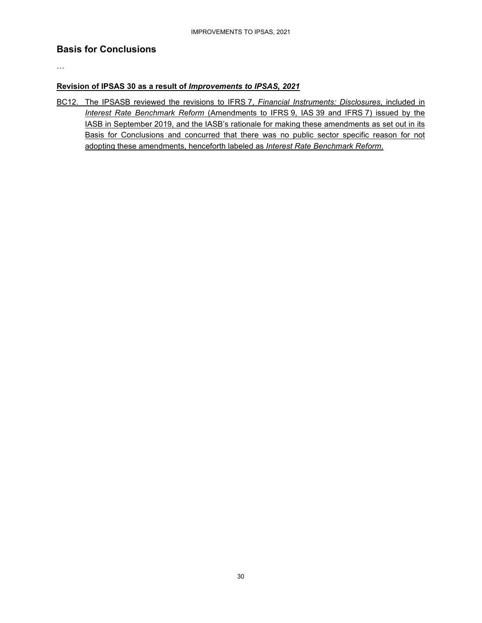### **Basis for Conclusions**

…

#### **Revision of IPSAS 30 as a result of** *Improvements to IPSAS, 2021*

BC12. The IPSASB reviewed the revisions to IFRS 7, *Financial Instruments: Disclosures*, included in *Interest Rate Benchmark Reform* (Amendments to IFRS 9, IAS 39 and IFRS 7) issued by the IASB in September 2019, and the IASB's rationale for making these amendments as set out in its Basis for Conclusions and concurred that there was no public sector specific reason for not adopting these amendments, henceforth labeled as *Interest Rate Benchmark Reform*.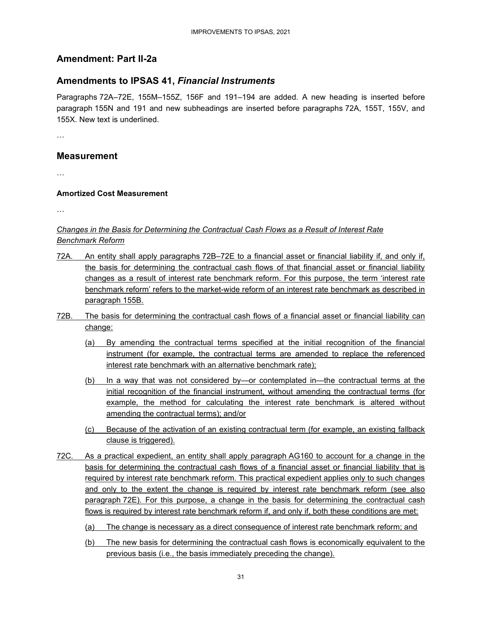### **Amendment: Part II-2a**

### **Amendments to IPSAS 41,** *Financial Instruments*

Paragraphs 72A–72E, 155M–155Z, 156F and 191–194 are added. A new heading is inserted before paragraph 155N and 191 and new subheadings are inserted before paragraphs 72A, 155T, 155V, and 155X. New text is underlined.

…

### **Measurement**

…

#### **Amortized Cost Measurement**

…

#### *Changes in the Basis for Determining the Contractual Cash Flows as a Result of Interest Rate Benchmark Reform*

- 72A. An entity shall apply paragraphs 72B–72E to a financial asset or financial liability if, and only if, the basis for determining the contractual cash flows of that financial asset or financial liability changes as a result of interest rate benchmark reform. For this purpose, the term 'interest rate benchmark reform' refers to the market-wide reform of an interest rate benchmark as described in paragraph 155B.
- 72B. The basis for determining the contractual cash flows of a financial asset or financial liability can change:
	- (a) By amending the contractual terms specified at the initial recognition of the financial instrument (for example, the contractual terms are amended to replace the referenced interest rate benchmark with an alternative benchmark rate);
	- (b) In a way that was not considered by—or contemplated in—the contractual terms at the initial recognition of the financial instrument, without amending the contractual terms (for example, the method for calculating the interest rate benchmark is altered without amending the contractual terms); and/or
	- (c) Because of the activation of an existing contractual term (for example, an existing fallback clause is triggered).
- 72C. As a practical expedient, an entity shall apply paragraph AG160 to account for a change in the basis for determining the contractual cash flows of a financial asset or financial liability that is required by interest rate benchmark reform. This practical expedient applies only to such changes and only to the extent the change is required by interest rate benchmark reform (see also paragraph 72E). For this purpose, a change in the basis for determining the contractual cash flows is required by interest rate benchmark reform if, and only if, both these conditions are met:
	- (a) The change is necessary as a direct consequence of interest rate benchmark reform; and
	- (b) The new basis for determining the contractual cash flows is economically equivalent to the previous basis (i.e., the basis immediately preceding the change).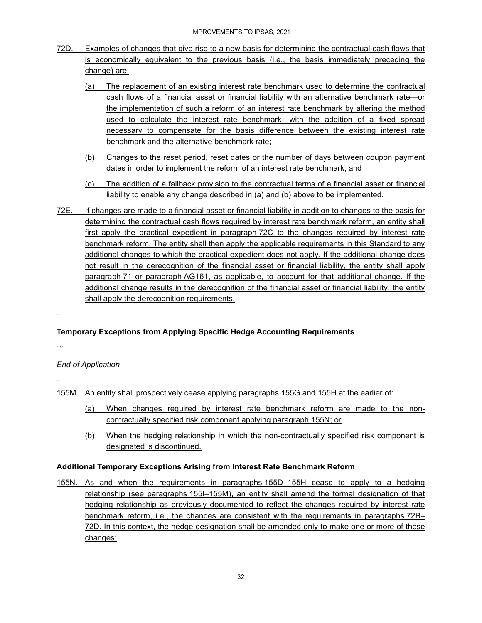- 72D. Examples of changes that give rise to a new basis for determining the contractual cash flows that is economically equivalent to the previous basis (i.e., the basis immediately preceding the change) are:
	- (a) The replacement of an existing interest rate benchmark used to determine the contractual cash flows of a financial asset or financial liability with an alternative benchmark rate—or the implementation of such a reform of an interest rate benchmark by altering the method used to calculate the interest rate benchmark—with the addition of a fixed spread necessary to compensate for the basis difference between the existing interest rate benchmark and the alternative benchmark rate;
	- (b) Changes to the reset period, reset dates or the number of days between coupon payment dates in order to implement the reform of an interest rate benchmark; and
	- (c) The addition of a fallback provision to the contractual terms of a financial asset or financial liability to enable any change described in (a) and (b) above to be implemented.
- 72E. If changes are made to a financial asset or financial liability in addition to changes to the basis for determining the contractual cash flows required by interest rate benchmark reform, an entity shall first apply the practical expedient in paragraph 72C to the changes required by interest rate benchmark reform. The entity shall then apply the applicable requirements in this Standard to any additional changes to which the practical expedient does not apply. If the additional change does not result in the derecognition of the financial asset or financial liability, the entity shall apply paragraph 71 or paragraph AG161, as applicable, to account for that additional change. If the additional change results in the derecognition of the financial asset or financial liability, the entity shall apply the derecognition requirements.

...

### **Temporary Exceptions from Applying Specific Hedge Accounting Requirements**

…

### *End of Application*

...

155M. An entity shall prospectively cease applying paragraphs 155G and 155H at the earlier of:

- (a) When changes required by interest rate benchmark reform are made to the noncontractually specified risk component applying paragraph 155N; or
- (b) When the hedging relationship in which the non-contractually specified risk component is designated is discontinued.

### **Additional Temporary Exceptions Arising from Interest Rate Benchmark Reform**

155N. As and when the requirements in paragraphs 155D–155H cease to apply to a hedging relationship (see paragraphs 155I–155M), an entity shall amend the formal designation of that hedging relationship as previously documented to reflect the changes required by interest rate benchmark reform, i.e., the changes are consistent with the requirements in paragraphs 72B– 72D. In this context, the hedge designation shall be amended only to make one or more of these changes: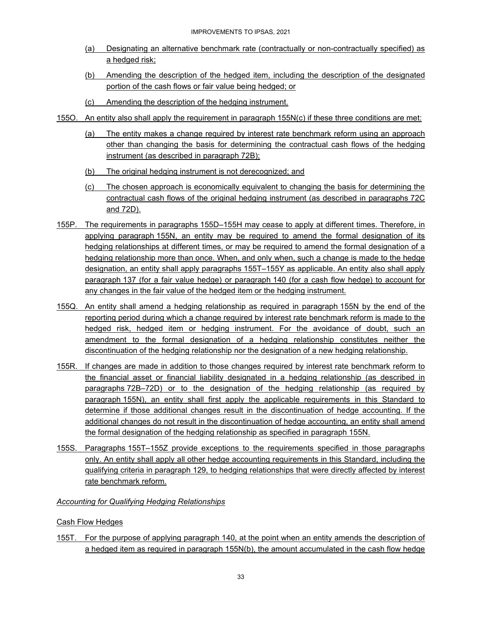- (a) Designating an alternative benchmark rate (contractually or non-contractually specified) as a hedged risk;
- (b) Amending the description of the hedged item, including the description of the designated portion of the cash flows or fair value being hedged; or
- (c) Amending the description of the hedging instrument.
- 155O. An entity also shall apply the requirement in paragraph 155N(c) if these three conditions are met:
	- (a) The entity makes a change required by interest rate benchmark reform using an approach other than changing the basis for determining the contractual cash flows of the hedging instrument (as described in paragraph 72B);
	- (b) The original hedging instrument is not derecognized; and
	- (c) The chosen approach is economically equivalent to changing the basis for determining the contractual cash flows of the original hedging instrument (as described in paragraphs 72C and 72D).
- 155P. The requirements in paragraphs 155D–155H may cease to apply at different times. Therefore, in applying paragraph 155N, an entity may be required to amend the formal designation of its hedging relationships at different times, or may be required to amend the formal designation of a hedging relationship more than once. When, and only when, such a change is made to the hedge designation, an entity shall apply paragraphs 155T–155Y as applicable. An entity also shall apply paragraph 137 (for a fair value hedge) or paragraph 140 (for a cash flow hedge) to account for any changes in the fair value of the hedged item or the hedging instrument.
- 155Q. An entity shall amend a hedging relationship as required in paragraph 155N by the end of the reporting period during which a change required by interest rate benchmark reform is made to the hedged risk, hedged item or hedging instrument. For the avoidance of doubt, such an amendment to the formal designation of a hedging relationship constitutes neither the discontinuation of the hedging relationship nor the designation of a new hedging relationship.
- 155R. If changes are made in addition to those changes required by interest rate benchmark reform to the financial asset or financial liability designated in a hedging relationship (as described in paragraphs 72B–72D) or to the designation of the hedging relationship (as required by paragraph 155N), an entity shall first apply the applicable requirements in this Standard to determine if those additional changes result in the discontinuation of hedge accounting. If the additional changes do not result in the discontinuation of hedge accounting, an entity shall amend the formal designation of the hedging relationship as specified in paragraph 155N.
- 155S. Paragraphs 155T–155Z provide exceptions to the requirements specified in those paragraphs only. An entity shall apply all other hedge accounting requirements in this Standard, including the qualifying criteria in paragraph 129, to hedging relationships that were directly affected by interest rate benchmark reform.

### *Accounting for Qualifying Hedging Relationships*

### Cash Flow Hedges

155T. For the purpose of applying paragraph 140, at the point when an entity amends the description of a hedged item as required in paragraph 155N(b), the amount accumulated in the cash flow hedge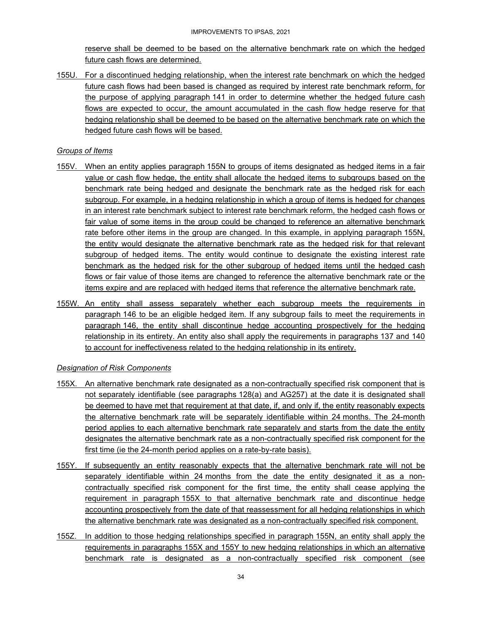reserve shall be deemed to be based on the alternative benchmark rate on which the hedged future cash flows are determined.

155U. For a discontinued hedging relationship, when the interest rate benchmark on which the hedged future cash flows had been based is changed as required by interest rate benchmark reform, for the purpose of applying paragraph 141 in order to determine whether the hedged future cash flows are expected to occur, the amount accumulated in the cash flow hedge reserve for that hedging relationship shall be deemed to be based on the alternative benchmark rate on which the hedged future cash flows will be based.

#### *Groups of Items*

- 155V. When an entity applies paragraph 155N to groups of items designated as hedged items in a fair value or cash flow hedge, the entity shall allocate the hedged items to subgroups based on the benchmark rate being hedged and designate the benchmark rate as the hedged risk for each subgroup. For example, in a hedging relationship in which a group of items is hedged for changes in an interest rate benchmark subject to interest rate benchmark reform, the hedged cash flows or fair value of some items in the group could be changed to reference an alternative benchmark rate before other items in the group are changed. In this example, in applying paragraph 155N, the entity would designate the alternative benchmark rate as the hedged risk for that relevant subgroup of hedged items. The entity would continue to designate the existing interest rate benchmark as the hedged risk for the other subgroup of hedged items until the hedged cash flows or fair value of those items are changed to reference the alternative benchmark rate or the items expire and are replaced with hedged items that reference the alternative benchmark rate.
- 155W. An entity shall assess separately whether each subgroup meets the requirements in paragraph 146 to be an eligible hedged item. If any subgroup fails to meet the requirements in paragraph 146, the entity shall discontinue hedge accounting prospectively for the hedging relationship in its entirety. An entity also shall apply the requirements in paragraphs 137 and 140 to account for ineffectiveness related to the hedging relationship in its entirety.

#### *Designation of Risk Components*

- 155X. An alternative benchmark rate designated as a non-contractually specified risk component that is not separately identifiable (see paragraphs 128(a) and AG257) at the date it is designated shall be deemed to have met that requirement at that date, if, and only if, the entity reasonably expects the alternative benchmark rate will be separately identifiable within 24 months. The 24-month period applies to each alternative benchmark rate separately and starts from the date the entity designates the alternative benchmark rate as a non-contractually specified risk component for the first time (ie the 24-month period applies on a rate-by-rate basis).
- 155Y. If subsequently an entity reasonably expects that the alternative benchmark rate will not be separately identifiable within 24 months from the date the entity designated it as a noncontractually specified risk component for the first time, the entity shall cease applying the requirement in paragraph 155X to that alternative benchmark rate and discontinue hedge accounting prospectively from the date of that reassessment for all hedging relationships in which the alternative benchmark rate was designated as a non-contractually specified risk component.
- 155Z. In addition to those hedging relationships specified in paragraph 155N, an entity shall apply the requirements in paragraphs 155X and 155Y to new hedging relationships in which an alternative benchmark rate is designated as a non-contractually specified risk component (see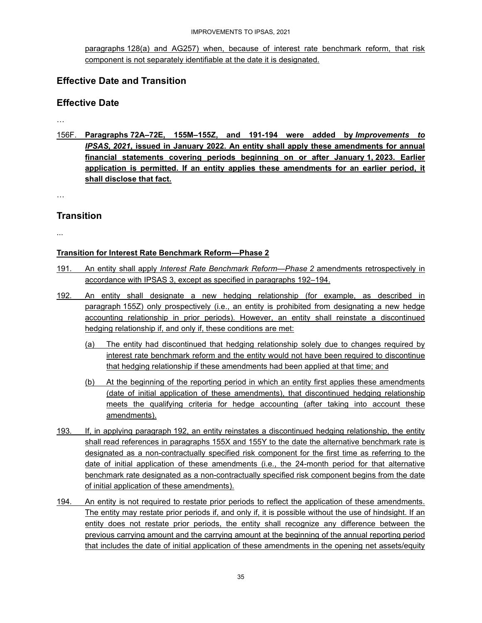#### IMPROVEMENTS TO IPSAS, 2021

paragraphs 128(a) and AG257) when, because of interest rate benchmark reform, that risk component is not separately identifiable at the date it is designated.

### **Effective Date and Transition**

### **Effective Date**

…

156F. **Paragraphs 72A–72E, 155M–155Z, and 191-194 were added by** *Improvements to IPSAS, 2021***, issued in January 2022. An entity shall apply these amendments for annual financial statements covering periods beginning on or after January 1, 2023. Earlier application is permitted. If an entity applies these amendments for an earlier period, it shall disclose that fact.** 

…

### **Transition**

...

### **Transition for Interest Rate Benchmark Reform—Phase 2**

- 191. An entity shall apply *Interest Rate Benchmark Reform—Phase 2* amendments retrospectively in accordance with IPSAS 3, except as specified in paragraphs 192–194.
- 192. An entity shall designate a new hedging relationship (for example, as described in paragraph 155Z) only prospectively (i.e., an entity is prohibited from designating a new hedge accounting relationship in prior periods). However, an entity shall reinstate a discontinued hedging relationship if, and only if, these conditions are met:
	- (a) The entity had discontinued that hedging relationship solely due to changes required by interest rate benchmark reform and the entity would not have been required to discontinue that hedging relationship if these amendments had been applied at that time; and
	- (b) At the beginning of the reporting period in which an entity first applies these amendments (date of initial application of these amendments), that discontinued hedging relationship meets the qualifying criteria for hedge accounting (after taking into account these amendments).
- 193. If, in applying paragraph 192, an entity reinstates a discontinued hedging relationship, the entity shall read references in paragraphs 155X and 155Y to the date the alternative benchmark rate is designated as a non-contractually specified risk component for the first time as referring to the date of initial application of these amendments (i.e., the 24-month period for that alternative benchmark rate designated as a non-contractually specified risk component begins from the date of initial application of these amendments).
- 194. An entity is not required to restate prior periods to reflect the application of these amendments. The entity may restate prior periods if, and only if, it is possible without the use of hindsight. If an entity does not restate prior periods, the entity shall recognize any difference between the previous carrying amount and the carrying amount at the beginning of the annual reporting period that includes the date of initial application of these amendments in the opening net assets/equity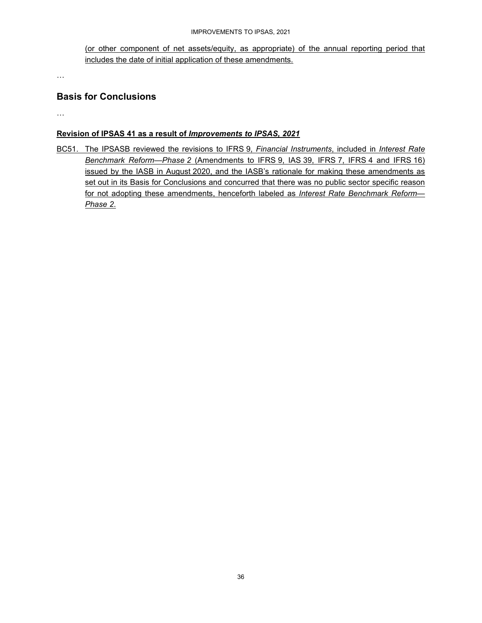#### IMPROVEMENTS TO IPSAS, 2021

(or other component of net assets/equity, as appropriate) of the annual reporting period that includes the date of initial application of these amendments.

…

### **Basis for Conclusions**

…

#### **Revision of IPSAS 41 as a result of** *Improvements to IPSAS, 2021*

BC51. The IPSASB reviewed the revisions to IFRS 9, *Financial Instruments*, included in *Interest Rate Benchmark Reform—Phase 2* (Amendments to IFRS 9, IAS 39, IFRS 7, IFRS 4 and IFRS 16) issued by the IASB in August 2020, and the IASB's rationale for making these amendments as set out in its Basis for Conclusions and concurred that there was no public sector specific reason for not adopting these amendments, henceforth labeled as *Interest Rate Benchmark Reform— Phase 2*.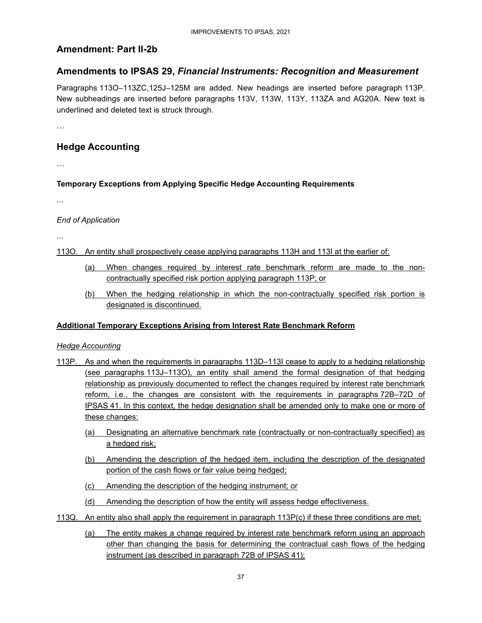### **Amendment: Part II-2b**

### **Amendments to IPSAS 29,** *Financial Instruments: Recognition and Measurement*

Paragraphs 113O–113ZC,125J–125M are added. New headings are inserted before paragraph 113P. New subheadings are inserted before paragraphs 113V, 113W, 113Y, 113ZA and AG20A. New text is underlined and deleted text is struck through.

…

### **Hedge Accounting**

…

#### **Temporary Exceptions from Applying Specific Hedge Accounting Requirements**

...

#### *End of Application*

...

113O. An entity shall prospectively cease applying paragraphs 113H and 113I at the earlier of:

- (a) When changes required by interest rate benchmark reform are made to the noncontractually specified risk portion applying paragraph 113P; or
- (b) When the hedging relationship in which the non-contractually specified risk portion is designated is discontinued.

#### **Additional Temporary Exceptions Arising from Interest Rate Benchmark Reform**

#### *Hedge Accounting*

- 113P. As and when the requirements in paragraphs 113D–113I cease to apply to a hedging relationship (see paragraphs 113J–113O), an entity shall amend the formal designation of that hedging relationship as previously documented to reflect the changes required by interest rate benchmark reform, i.e., the changes are consistent with the requirements in paragraphs 72B–72D of IPSAS 41. In this context, the hedge designation shall be amended only to make one or more of these changes:
	- (a) Designating an alternative benchmark rate (contractually or non-contractually specified) as a hedged risk;
	- (b) Amending the description of the hedged item, including the description of the designated portion of the cash flows or fair value being hedged;
	- (c) Amending the description of the hedging instrument; or
	- (d) Amending the description of how the entity will assess hedge effectiveness.
- 113Q. An entity also shall apply the requirement in paragraph 113P(c) if these three conditions are met:
	- (a) The entity makes a change required by interest rate benchmark reform using an approach other than changing the basis for determining the contractual cash flows of the hedging instrument (as described in paragraph 72B of IPSAS 41);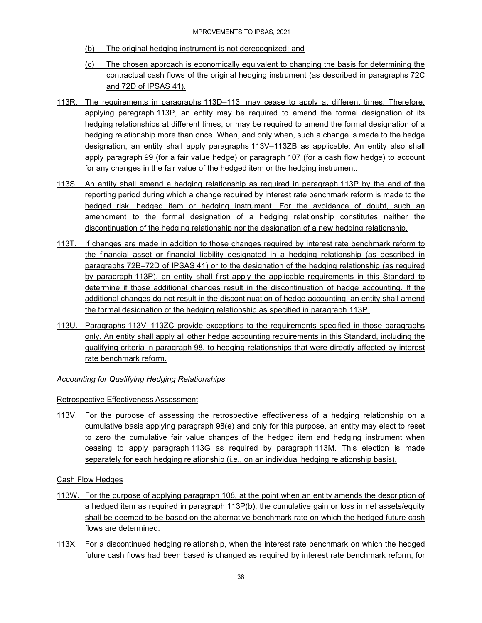- (b) The original hedging instrument is not derecognized; and
- (c) The chosen approach is economically equivalent to changing the basis for determining the contractual cash flows of the original hedging instrument (as described in paragraphs 72C and 72D of IPSAS 41).
- 113R. The requirements in paragraphs 113D–113I may cease to apply at different times. Therefore, applying paragraph 113P, an entity may be required to amend the formal designation of its hedging relationships at different times, or may be required to amend the formal designation of a hedging relationship more than once. When, and only when, such a change is made to the hedge designation, an entity shall apply paragraphs 113V–113ZB as applicable. An entity also shall apply paragraph 99 (for a fair value hedge) or paragraph 107 (for a cash flow hedge) to account for any changes in the fair value of the hedged item or the hedging instrument.
- 113S. An entity shall amend a hedging relationship as required in paragraph 113P by the end of the reporting period during which a change required by interest rate benchmark reform is made to the hedged risk, hedged item or hedging instrument. For the avoidance of doubt, such an amendment to the formal designation of a hedging relationship constitutes neither the discontinuation of the hedging relationship nor the designation of a new hedging relationship.
- 113T. If changes are made in addition to those changes required by interest rate benchmark reform to the financial asset or financial liability designated in a hedging relationship (as described in paragraphs 72B–72D of IPSAS 41) or to the designation of the hedging relationship (as required by paragraph 113P), an entity shall first apply the applicable requirements in this Standard to determine if those additional changes result in the discontinuation of hedge accounting. If the additional changes do not result in the discontinuation of hedge accounting, an entity shall amend the formal designation of the hedging relationship as specified in paragraph 113P.
- 113U. Paragraphs 113V–113ZC provide exceptions to the requirements specified in those paragraphs only. An entity shall apply all other hedge accounting requirements in this Standard, including the qualifying criteria in paragraph 98, to hedging relationships that were directly affected by interest rate benchmark reform.

#### *Accounting for Qualifying Hedging Relationships*

#### Retrospective Effectiveness Assessment

113V. For the purpose of assessing the retrospective effectiveness of a hedging relationship on a cumulative basis applying paragraph 98(e) and only for this purpose, an entity may elect to reset to zero the cumulative fair value changes of the hedged item and hedging instrument when ceasing to apply paragraph 113G as required by paragraph 113M. This election is made separately for each hedging relationship (i.e., on an individual hedging relationship basis).

Cash Flow Hedges

- 113W. For the purpose of applying paragraph 108, at the point when an entity amends the description of a hedged item as required in paragraph 113P(b), the cumulative gain or loss in net assets/equity shall be deemed to be based on the alternative benchmark rate on which the hedged future cash flows are determined.
- 113X. For a discontinued hedging relationship, when the interest rate benchmark on which the hedged future cash flows had been based is changed as required by interest rate benchmark reform, for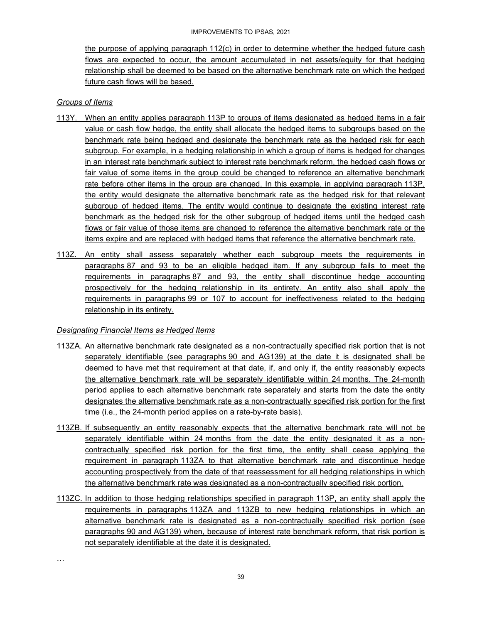the purpose of applying paragraph 112(c) in order to determine whether the hedged future cash flows are expected to occur, the amount accumulated in net assets/equity for that hedging relationship shall be deemed to be based on the alternative benchmark rate on which the hedged future cash flows will be based.

#### *Groups of Items*

- 113Y. When an entity applies paragraph 113P to groups of items designated as hedged items in a fair value or cash flow hedge, the entity shall allocate the hedged items to subgroups based on the benchmark rate being hedged and designate the benchmark rate as the hedged risk for each subgroup. For example, in a hedging relationship in which a group of items is hedged for changes in an interest rate benchmark subject to interest rate benchmark reform, the hedged cash flows or fair value of some items in the group could be changed to reference an alternative benchmark rate before other items in the group are changed. In this example, in applying paragraph 113P, the entity would designate the alternative benchmark rate as the hedged risk for that relevant subgroup of hedged items. The entity would continue to designate the existing interest rate benchmark as the hedged risk for the other subgroup of hedged items until the hedged cash flows or fair value of those items are changed to reference the alternative benchmark rate or the items expire and are replaced with hedged items that reference the alternative benchmark rate.
- 113Z. An entity shall assess separately whether each subgroup meets the requirements in paragraphs 87 and 93 to be an eligible hedged item. If any subgroup fails to meet the requirements in paragraphs 87 and 93, the entity shall discontinue hedge accounting prospectively for the hedging relationship in its entirety. An entity also shall apply the requirements in paragraphs 99 or 107 to account for ineffectiveness related to the hedging relationship in its entirety.

#### *Designating Financial Items as Hedged Items*

- 113ZA. An alternative benchmark rate designated as a non-contractually specified risk portion that is not separately identifiable (see paragraphs 90 and AG139) at the date it is designated shall be deemed to have met that requirement at that date, if, and only if, the entity reasonably expects the alternative benchmark rate will be separately identifiable within 24 months. The 24-month period applies to each alternative benchmark rate separately and starts from the date the entity designates the alternative benchmark rate as a non-contractually specified risk portion for the first time (i.e., the 24-month period applies on a rate-by-rate basis).
- 113ZB. If subsequently an entity reasonably expects that the alternative benchmark rate will not be separately identifiable within 24 months from the date the entity designated it as a noncontractually specified risk portion for the first time, the entity shall cease applying the requirement in paragraph 113ZA to that alternative benchmark rate and discontinue hedge accounting prospectively from the date of that reassessment for all hedging relationships in which the alternative benchmark rate was designated as a non-contractually specified risk portion.
- 113ZC. In addition to those hedging relationships specified in paragraph 113P, an entity shall apply the requirements in paragraphs 113ZA and 113ZB to new hedging relationships in which an alternative benchmark rate is designated as a non-contractually specified risk portion (see paragraphs 90 and AG139) when, because of interest rate benchmark reform, that risk portion is not separately identifiable at the date it is designated.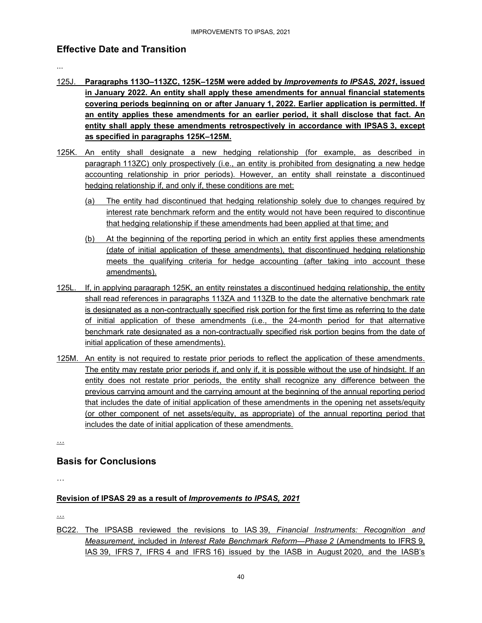### **Effective Date and Transition**

...

- 125J. **Paragraphs 113O–113ZC, 125K–125M were added by** *Improvements to IPSAS, 2021***, issued in January 2022. An entity shall apply these amendments for annual financial statements covering periods beginning on or after January 1, 2022. Earlier application is permitted. If an entity applies these amendments for an earlier period, it shall disclose that fact. An entity shall apply these amendments retrospectively in accordance with IPSAS 3, except as specified in paragraphs 125K–125M.**
- 125K. An entity shall designate a new hedging relationship (for example, as described in paragraph 113ZC) only prospectively (i.e., an entity is prohibited from designating a new hedge accounting relationship in prior periods). However, an entity shall reinstate a discontinued hedging relationship if, and only if, these conditions are met:
	- (a) The entity had discontinued that hedging relationship solely due to changes required by interest rate benchmark reform and the entity would not have been required to discontinue that hedging relationship if these amendments had been applied at that time; and
	- (b) At the beginning of the reporting period in which an entity first applies these amendments (date of initial application of these amendments), that discontinued hedging relationship meets the qualifying criteria for hedge accounting (after taking into account these amendments).
- 125L. If, in applying paragraph 125K, an entity reinstates a discontinued hedging relationship, the entity shall read references in paragraphs 113ZA and 113ZB to the date the alternative benchmark rate is designated as a non-contractually specified risk portion for the first time as referring to the date of initial application of these amendments (i.e., the 24-month period for that alternative benchmark rate designated as a non-contractually specified risk portion begins from the date of initial application of these amendments).
- 125M. An entity is not required to restate prior periods to reflect the application of these amendments. The entity may restate prior periods if, and only if, it is possible without the use of hindsight. If an entity does not restate prior periods, the entity shall recognize any difference between the previous carrying amount and the carrying amount at the beginning of the annual reporting period that includes the date of initial application of these amendments in the opening net assets/equity (or other component of net assets/equity, as appropriate) of the annual reporting period that includes the date of initial application of these amendments.

…

### **Basis for Conclusions**

…

### **Revision of IPSAS 29 as a result of** *Improvements to IPSAS, 2021*

…

BC22. The IPSASB reviewed the revisions to IAS 39, *Financial Instruments: Recognition and Measurement*, included in *Interest Rate Benchmark Reform—Phase 2* (Amendments to IFRS 9, IAS 39, IFRS 7, IFRS 4 and IFRS 16) issued by the IASB in August 2020, and the IASB's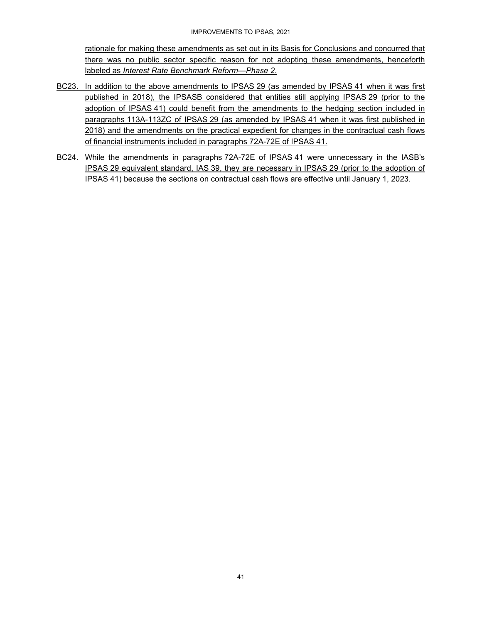rationale for making these amendments as set out in its Basis for Conclusions and concurred that there was no public sector specific reason for not adopting these amendments, henceforth labeled as *Interest Rate Benchmark Reform—Phase 2*.

- BC23. In addition to the above amendments to IPSAS 29 (as amended by IPSAS 41 when it was first published in 2018), the IPSASB considered that entities still applying IPSAS 29 (prior to the adoption of IPSAS 41) could benefit from the amendments to the hedging section included in paragraphs 113A-113ZC of IPSAS 29 (as amended by IPSAS 41 when it was first published in 2018) and the amendments on the practical expedient for changes in the contractual cash flows of financial instruments included in paragraphs 72A-72E of IPSAS 41.
- BC24. While the amendments in paragraphs 72A-72E of IPSAS 41 were unnecessary in the IASB's IPSAS 29 equivalent standard, IAS 39, they are necessary in IPSAS 29 (prior to the adoption of IPSAS 41) because the sections on contractual cash flows are effective until January 1, 2023.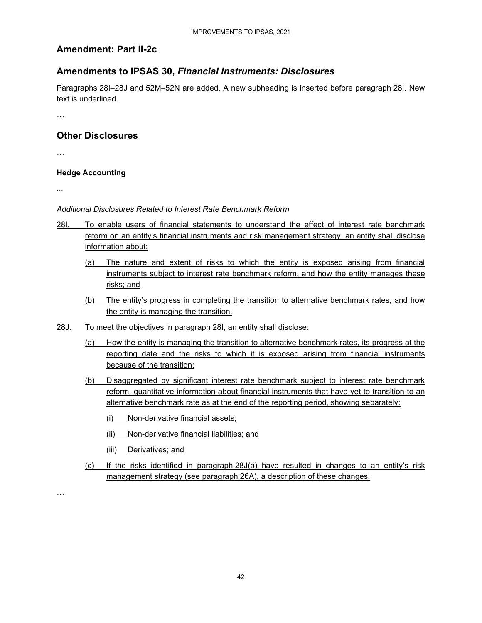### **Amendment: Part II-2c**

### **Amendments to IPSAS 30,** *Financial Instruments: Disclosures*

Paragraphs 28I–28J and 52M–52N are added. A new subheading is inserted before paragraph 28I. New text is underlined.

…

### **Other Disclosures**

…

#### **Hedge Accounting**

...

#### *Additional Disclosures Related to Interest Rate Benchmark Reform*

- 28I. To enable users of financial statements to understand the effect of interest rate benchmark reform on an entity's financial instruments and risk management strategy, an entity shall disclose information about:
	- (a) The nature and extent of risks to which the entity is exposed arising from financial instruments subject to interest rate benchmark reform, and how the entity manages these risks; and
	- (b) The entity's progress in completing the transition to alternative benchmark rates, and how the entity is managing the transition.
- 28J. To meet the objectives in paragraph 28I, an entity shall disclose:
	- (a) How the entity is managing the transition to alternative benchmark rates, its progress at the reporting date and the risks to which it is exposed arising from financial instruments because of the transition;
	- (b) Disaggregated by significant interest rate benchmark subject to interest rate benchmark reform, quantitative information about financial instruments that have yet to transition to an alternative benchmark rate as at the end of the reporting period, showing separately:
		- (i) Non-derivative financial assets;
		- (ii) Non-derivative financial liabilities; and
		- (iii) Derivatives; and
	- (c) If the risks identified in paragraph 28J(a) have resulted in changes to an entity's risk management strategy (see paragraph 26A), a description of these changes.

…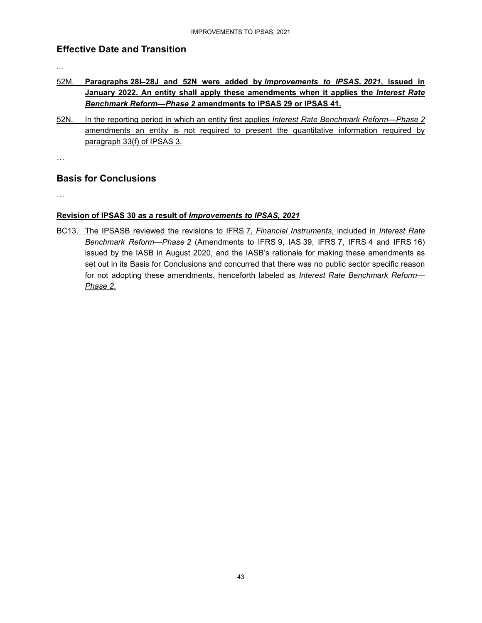### **Effective Date and Transition**

...

- 52M. **Paragraphs 28I–28J and 52N were added by** *Improvements to IPSAS, 2021***, issued in January 2022. An entity shall apply these amendments when it applies the** *Interest Rate Benchmark Reform—Phase 2* **amendments to IPSAS 29 or IPSAS 41.**
- 52N. In the reporting period in which an entity first applies *Interest Rate Benchmark Reform—Phase 2* amendments an entity is not required to present the quantitative information required by paragraph 33(f) of IPSAS 3.

…

### **Basis for Conclusions**

…

### **Revision of IPSAS 30 as a result of** *Improvements to IPSAS, 2021*

BC13. The IPSASB reviewed the revisions to IFRS 7, *Financial Instruments*, included in *Interest Rate Benchmark Reform—Phase 2* (Amendments to IFRS 9, IAS 39, IFRS 7, IFRS 4 and IFRS 16) issued by the IASB in August 2020, and the IASB's rationale for making these amendments as set out in its Basis for Conclusions and concurred that there was no public sector specific reason for not adopting these amendments, henceforth labeled as *Interest Rate Benchmark Reform— Phase 2*.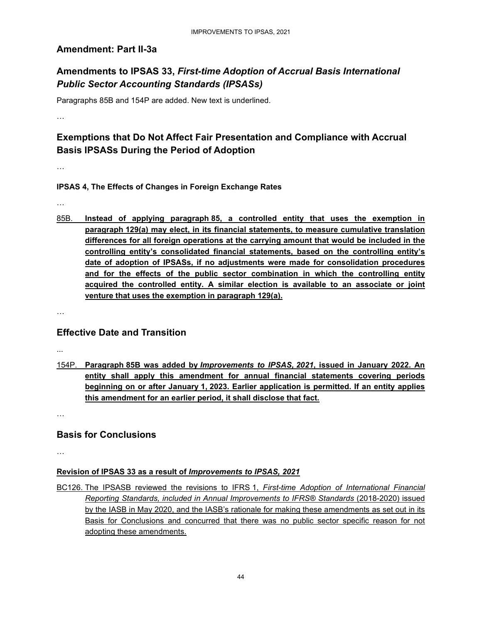### **Amendment: Part II-3a**

### **Amendments to IPSAS 33,** *First-time Adoption of Accrual Basis International Public Sector Accounting Standards (IPSASs)*

Paragraphs 85B and 154P are added. New text is underlined.

…

### **Exemptions that Do Not Affect Fair Presentation and Compliance with Accrual Basis IPSASs During the Period of Adoption**

…

### **IPSAS 4, The Effects of Changes in Foreign Exchange Rates**

…

85B. **Instead of applying paragraph 85, a controlled entity that uses the exemption in paragraph 129(a) may elect, in its financial statements, to measure cumulative translation differences for all foreign operations at the carrying amount that would be included in the controlling entity's consolidated financial statements, based on the controlling entity's date of adoption of IPSASs, if no adjustments were made for consolidation procedures and for the effects of the public sector combination in which the controlling entity acquired the controlled entity. A similar election is available to an associate or joint venture that uses the exemption in paragraph 129(a).** 

…

### **Effective Date and Transition**

...

154P. **Paragraph 85B was added by** *Improvements to IPSAS, 2021***, issued in January 2022. An entity shall apply this amendment for annual financial statements covering periods beginning on or after January 1, 2023. Earlier application is permitted. If an entity applies this amendment for an earlier period, it shall disclose that fact.** 

…

### **Basis for Conclusions**

…

### **Revision of IPSAS 33 as a result of** *Improvements to IPSAS, 2021*

BC126. The IPSASB reviewed the revisions to IFRS 1, *First-time Adoption of International Financial Reporting Standards, included in Annual Improvements to IFRS® Standards* (2018-2020) issued by the IASB in May 2020, and the IASB's rationale for making these amendments as set out in its Basis for Conclusions and concurred that there was no public sector specific reason for not adopting these amendments.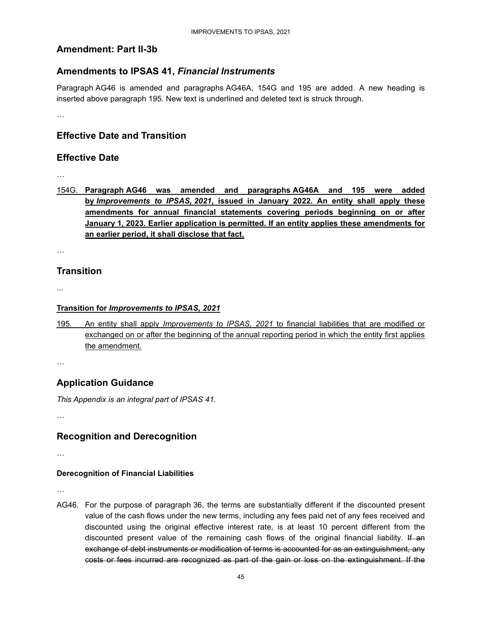### **Amendment: Part II-3b**

### **Amendments to IPSAS 41,** *Financial Instruments*

Paragraph AG46 is amended and paragraphs AG46A, 154G and 195 are added. A new heading is inserted above paragraph 195. New text is underlined and deleted text is struck through.

…

### **Effective Date and Transition**

### **Effective Date**

…

154G. **Paragraph AG46 was amended and paragraphs AG46A and 195 were added by** *Improvements to IPSAS, 2021***, issued in January 2022. An entity shall apply these amendments for annual financial statements covering periods beginning on or after January 1, 2023. Earlier application is permitted. If an entity applies these amendments for an earlier period, it shall disclose that fact.** 

…

### **Transition**

...

#### **Transition for** *Improvements to IPSAS, 2021*

195. An entity shall apply *Improvements to IPSAS, 2021* to financial liabilities that are modified or exchanged on or after the beginning of the annual reporting period in which the entity first applies the amendment.

…

### **Application Guidance**

*This Appendix is an integral part of IPSAS 41.* 

…

### **Recognition and Derecognition**

…

### **Derecognition of Financial Liabilities**

…

AG46. For the purpose of paragraph 36, the terms are substantially different if the discounted present value of the cash flows under the new terms, including any fees paid net of any fees received and discounted using the original effective interest rate, is at least 10 percent different from the discounted present value of the remaining cash flows of the original financial liability. If an exchange of debt instruments or modification of terms is accounted for as an extinguishment, any costs or fees incurred are recognized as part of the gain or loss on the extinguishment. If the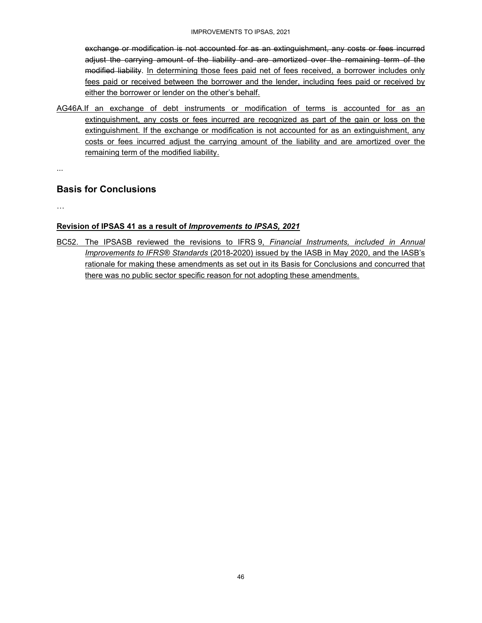exchange or modification is not accounted for as an extinguishment, any costs or fees incurred adjust the carrying amount of the liability and are amortized over the remaining term of the modified liability. In determining those fees paid net of fees received, a borrower includes only fees paid or received between the borrower and the lender, including fees paid or received by either the borrower or lender on the other's behalf.

AG46A.If an exchange of debt instruments or modification of terms is accounted for as an extinguishment, any costs or fees incurred are recognized as part of the gain or loss on the extinguishment. If the exchange or modification is not accounted for as an extinguishment, any costs or fees incurred adjust the carrying amount of the liability and are amortized over the remaining term of the modified liability.

...

### **Basis for Conclusions**

…

#### **Revision of IPSAS 41 as a result of** *Improvements to IPSAS, 2021*

BC52. The IPSASB reviewed the revisions to IFRS 9, *Financial Instruments, included in Annual Improvements to IFRS® Standards* (2018-2020) issued by the IASB in May 2020, and the IASB's rationale for making these amendments as set out in its Basis for Conclusions and concurred that there was no public sector specific reason for not adopting these amendments.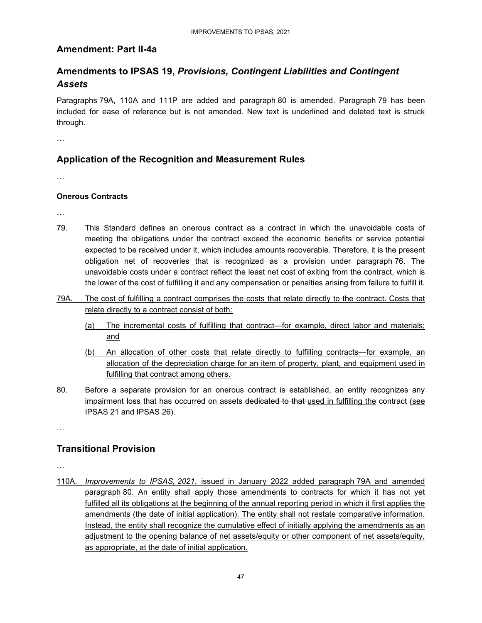### **Amendment: Part II-4a**

### **Amendments to IPSAS 19,** *Provisions, Contingent Liabilities and Contingent Assets*

Paragraphs 79A, 110A and 111P are added and paragraph 80 is amended. Paragraph 79 has been included for ease of reference but is not amended. New text is underlined and deleted text is struck through.

…

### **Application of the Recognition and Measurement Rules**

…

#### **Onerous Contracts**

…

- 79. This Standard defines an onerous contract as a contract in which the unavoidable costs of meeting the obligations under the contract exceed the economic benefits or service potential expected to be received under it, which includes amounts recoverable. Therefore, it is the present obligation net of recoveries that is recognized as a provision under paragraph 76. The unavoidable costs under a contract reflect the least net cost of exiting from the contract, which is the lower of the cost of fulfilling it and any compensation or penalties arising from failure to fulfill it.
- 79A. The cost of fulfilling a contract comprises the costs that relate directly to the contract. Costs that relate directly to a contract consist of both:
	- (a) The incremental costs of fulfilling that contract—for example, direct labor and materials; and
	- (b) An allocation of other costs that relate directly to fulfilling contracts—for example, an allocation of the depreciation charge for an item of property, plant, and equipment used in fulfilling that contract among others.
- 80. Before a separate provision for an onerous contract is established, an entity recognizes any impairment loss that has occurred on assets dedicated to that used in fulfilling the contract (see IPSAS 21 and IPSAS 26).

…

### **Transitional Provision**

…

110A. *Improvements to IPSAS, 2021*, issued in January 2022 added paragraph 79A and amended paragraph 80. An entity shall apply those amendments to contracts for which it has not yet fulfilled all its obligations at the beginning of the annual reporting period in which it first applies the amendments (the date of initial application). The entity shall not restate comparative information. Instead, the entity shall recognize the cumulative effect of initially applying the amendments as an adjustment to the opening balance of net assets/equity or other component of net assets/equity, as appropriate, at the date of initial application.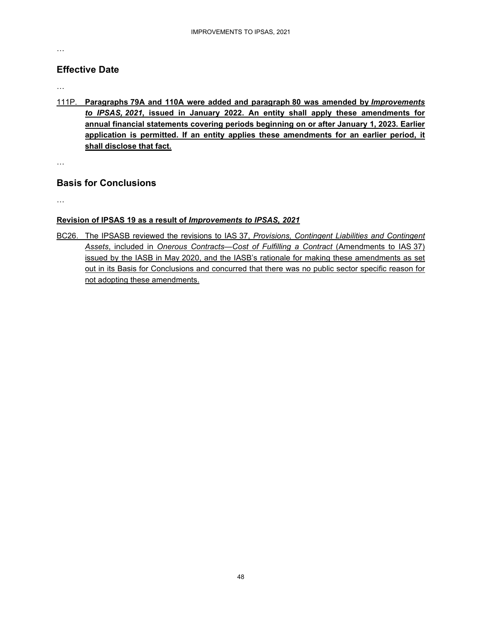#### …

### **Effective Date**

#### …

111P. **Paragraphs 79A and 110A were added and paragraph 80 was amended by** *Improvements to IPSAS, 2021***, issued in January 2022. An entity shall apply these amendments for annual financial statements covering periods beginning on or after January 1, 2023. Earlier application is permitted. If an entity applies these amendments for an earlier period, it shall disclose that fact.** 

…

### **Basis for Conclusions**

…

### **Revision of IPSAS 19 as a result of** *Improvements to IPSAS, 2021*

BC26. The IPSASB reviewed the revisions to IAS 37, *Provisions, Contingent Liabilities and Contingent Assets*, included in *Onerous Contracts—Cost of Fulfilling a Contract* (Amendments to IAS 37) issued by the IASB in May 2020, and the IASB's rationale for making these amendments as set out in its Basis for Conclusions and concurred that there was no public sector specific reason for not adopting these amendments.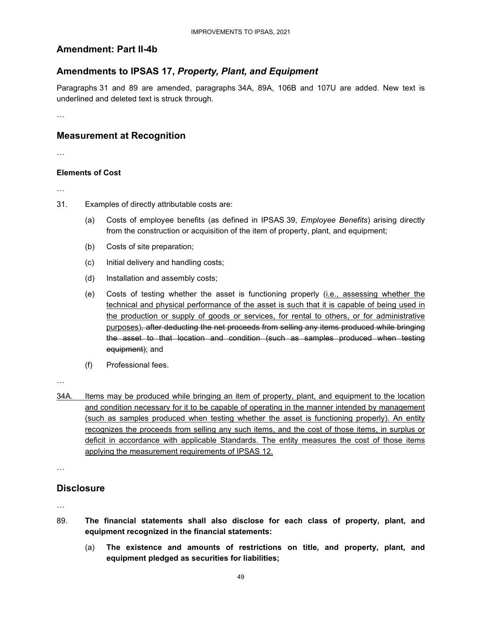### **Amendment: Part II-4b**

### **Amendments to IPSAS 17,** *Property, Plant, and Equipment*

Paragraphs 31 and 89 are amended, paragraphs 34A, 89A, 106B and 107U are added. New text is underlined and deleted text is struck through.

…

### **Measurement at Recognition**

…

#### **Elements of Cost**

…

- 31. Examples of directly attributable costs are:
	- (a) Costs of employee benefits (as defined in IPSAS 39, *Employee Benefits*) arising directly from the construction or acquisition of the item of property, plant, and equipment;
	- (b) Costs of site preparation;
	- (c) Initial delivery and handling costs;
	- (d) Installation and assembly costs;
	- (e) Costs of testing whether the asset is functioning properly (i.e., assessing whether the technical and physical performance of the asset is such that it is capable of being used in the production or supply of goods or services, for rental to others, or for administrative purposes), after deducting the net proceeds from selling any items produced while bringing the asset to that location and condition (such as samples produced when testing equipment); and
	- (f) Professional fees.

…

34A. Items may be produced while bringing an item of property, plant, and equipment to the location and condition necessary for it to be capable of operating in the manner intended by management (such as samples produced when testing whether the asset is functioning properly). An entity recognizes the proceeds from selling any such items, and the cost of those items, in surplus or deficit in accordance with applicable Standards. The entity measures the cost of those items applying the measurement requirements of IPSAS 12.

…

### **Disclosure**

…

- 89. **The financial statements shall also disclose for each class of property, plant, and equipment recognized in the financial statements:** 
	- (a) **The existence and amounts of restrictions on title, and property, plant, and equipment pledged as securities for liabilities;**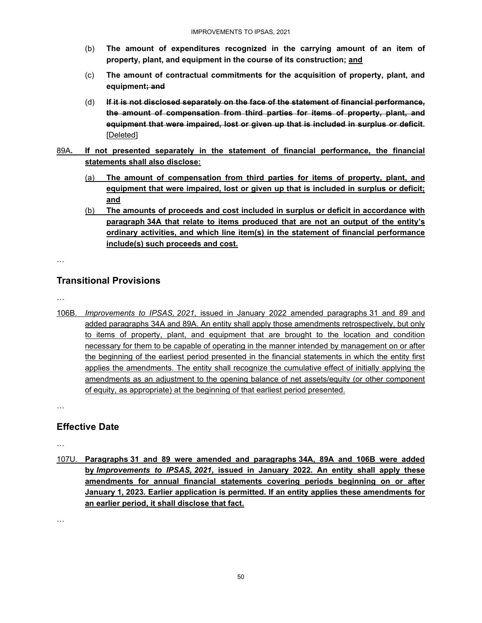- (b) **The amount of expenditures recognized in the carrying amount of an item of property, plant, and equipment in the course of its construction; and**
- (c) **The amount of contractual commitments for the acquisition of property, plant, and equipment; and**
- (d) **If it is not disclosed separately on the face of the statement of financial performance, the amount of compensation from third parties for items of property, plant, and equipment that were impaired, lost or given up that is included in surplus or deficit.**  [Deleted]
- 89A**. If not presented separately in the statement of financial performance, the financial statements shall also disclose:** 
	- (a) **The amount of compensation from third parties for items of property, plant, and equipment that were impaired, lost or given up that is included in surplus or deficit; and**
	- (b) **The amounts of proceeds and cost included in surplus or deficit in accordance with paragraph 34A that relate to items produced that are not an output of the entity's ordinary activities, and which line item(s) in the statement of financial performance include(s) such proceeds and cost.**

…

### **Transitional Provisions**

…

106B. *Improvements to IPSAS, 2021*, issued in January 2022 amended paragraphs 31 and 89 and added paragraphs 34A and 89A. An entity shall apply those amendments retrospectively, but only to items of property, plant, and equipment that are brought to the location and condition necessary for them to be capable of operating in the manner intended by management on or after the beginning of the earliest period presented in the financial statements in which the entity first applies the amendments. The entity shall recognize the cumulative effect of initially applying the amendments as an adjustment to the opening balance of net assets/equity (or other component of equity, as appropriate) at the beginning of that earliest period presented.

…

### **Effective Date**

…

107U. **Paragraphs 31 and 89 were amended and paragraphs 34A, 89A and 106B were added by** *Improvements to IPSAS, 2021***, issued in January 2022. An entity shall apply these amendments for annual financial statements covering periods beginning on or after January 1, 2023. Earlier application is permitted. If an entity applies these amendments for an earlier period, it shall disclose that fact.** 

…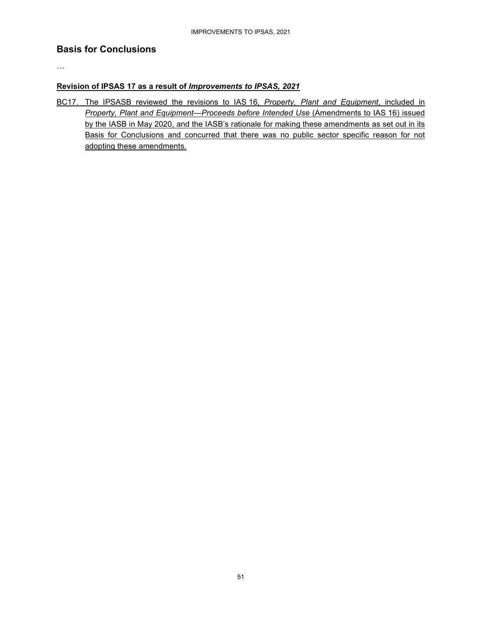### **Basis for Conclusions**

…

#### **Revision of IPSAS 17 as a result of** *Improvements to IPSAS, 2021*

BC17. The IPSASB reviewed the revisions to IAS 16, *Property, Plant and Equipment*, included in *Property, Plant and Equipment—Proceeds before Intended Use* (Amendments to IAS 16) issued by the IASB in May 2020, and the IASB's rationale for making these amendments as set out in its Basis for Conclusions and concurred that there was no public sector specific reason for not adopting these amendments.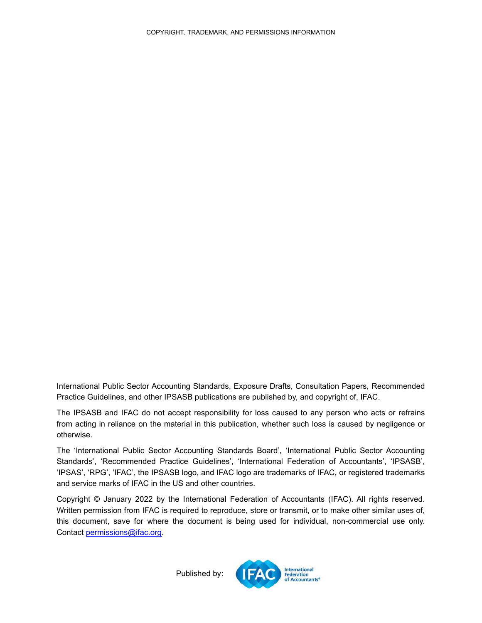International Public Sector Accounting Standards, Exposure Drafts, Consultation Papers, Recommended Practice Guidelines, and other IPSASB publications are published by, and copyright of, IFAC.

The IPSASB and IFAC do not accept responsibility for loss caused to any person who acts or refrains from acting in reliance on the material in this publication, whether such loss is caused by negligence or otherwise.

The 'International Public Sector Accounting Standards Board', 'International Public Sector Accounting Standards', 'Recommended Practice Guidelines', 'International Federation of Accountants', 'IPSASB', 'IPSAS', 'RPG', 'IFAC', the IPSASB logo, and IFAC logo are trademarks of IFAC, or registered trademarks and service marks of IFAC in the US and other countries.

Copyright © January 2022 by the International Federation of Accountants (IFAC). All rights reserved. Written permission from IFAC is required to reproduce, store or transmit, or to make other similar uses of, this document, save for where the document is being used for individual, non-commercial use only. Contact permissions@ifac.org.

Published by: